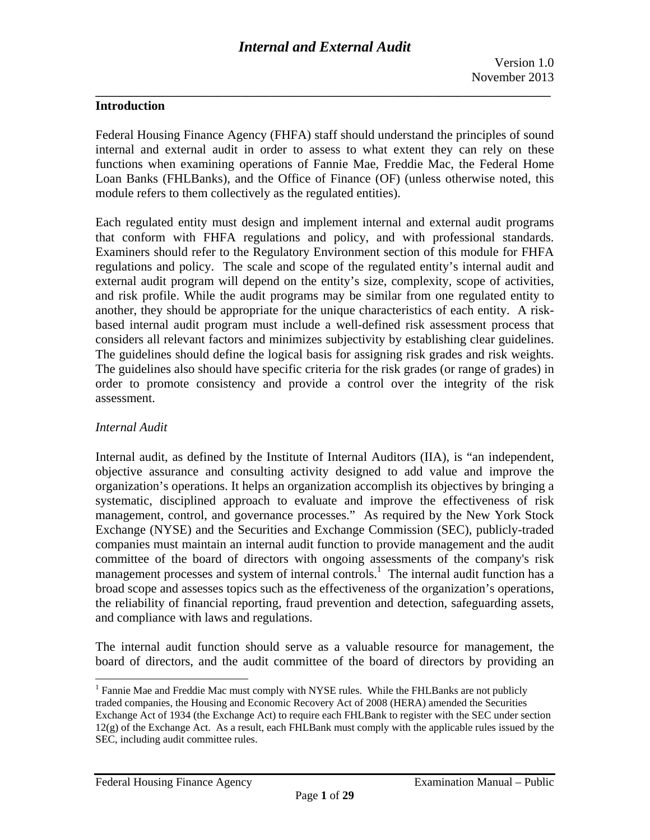#### **Introduction**

Federal Housing Finance Agency (FHFA) staff should understand the principles of sound internal and external audit in order to assess to what extent they can rely on these functions when examining operations of Fannie Mae, Freddie Mac, the Federal Home Loan Banks (FHLBanks), and the Office of Finance (OF) (unless otherwise noted, this module refers to them collectively as the regulated entities).

Each regulated entity must design and implement internal and external audit programs that conform with FHFA regulations and policy, and with professional standards. Examiners should refer to the Regulatory Environment section of this module for FHFA regulations and policy. The scale and scope of the regulated entity's internal audit and external audit program will depend on the entity's size, complexity, scope of activities, and risk profile. While the audit programs may be similar from one regulated entity to another, they should be appropriate for the unique characteristics of each entity. A riskbased internal audit program must include a well-defined risk assessment process that considers all relevant factors and minimizes subjectivity by establishing clear guidelines. The guidelines should define the logical basis for assigning risk grades and risk weights. The guidelines also should have specific criteria for the risk grades (or range of grades) in order to promote consistency and provide a control over the integrity of the risk assessment.

#### *Internal Audit*

 $\overline{\phantom{a}}$ 

Internal audit, as defined by the Institute of Internal Auditors (IIA), is "an independent, objective assurance and consulting activity designed to add value and improve the organization's operations. It helps an organization accomplish its objectives by bringing a systematic, disciplined approach to evaluate and improve the effectiveness of risk management, control, and governance processes." As required by the New York Stock Exchange (NYSE) and the Securities and Exchange Commission (SEC), publicly-traded companies must maintain an internal audit function to provide management and the audit committee of the board of directors with ongoing assessments of the company's risk management processes and system of internal controls.<sup>1</sup> The internal audit function has a broad scope and assesses topics such as the effectiveness of the organization's operations, the reliability of financial reporting, fraud prevention and detection, safeguarding assets, and compliance with laws and regulations.

The internal audit function should serve as a valuable resource for management, the board of directors, and the audit committee of the board of directors by providing an

 $<sup>1</sup>$  Fannie Mae and Freddie Mac must comply with NYSE rules. While the FHLBanks are not publicly</sup> traded companies, the Housing and Economic Recovery Act of 2008 (HERA) amended the Securities Exchange Act of 1934 (the Exchange Act) to require each FHLBank to register with the SEC under section  $12(g)$  of the Exchange Act. As a result, each FHLBank must comply with the applicable rules issued by the SEC, including audit committee rules.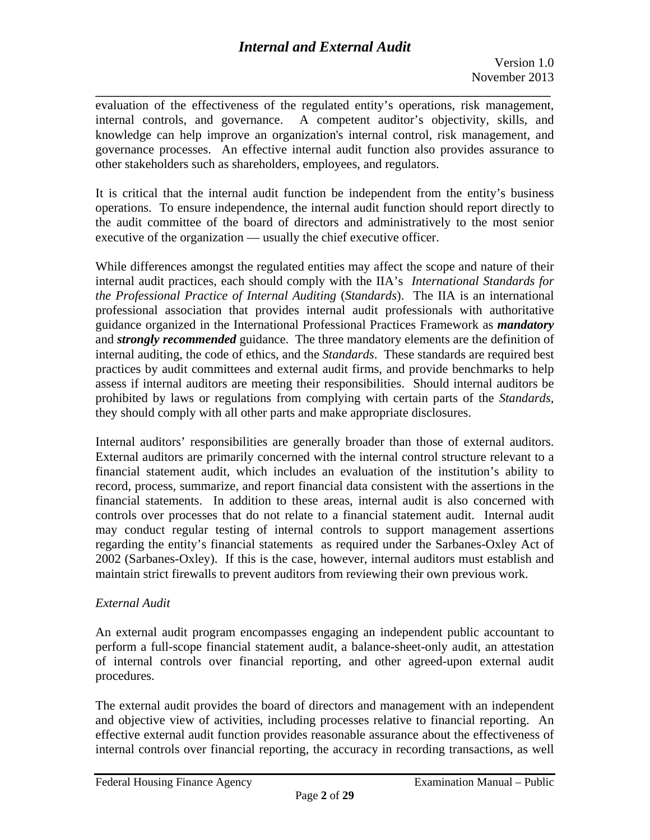# *Internal and External Audit*

**\_\_\_\_\_\_\_\_\_\_\_\_\_\_\_\_\_\_\_\_\_\_\_\_\_\_\_\_\_\_\_\_\_\_\_\_\_\_\_\_\_\_\_\_\_\_\_\_\_\_\_\_\_\_\_\_\_\_\_\_\_\_\_\_\_\_\_\_\_\_\_\_\_\_\_\_\_\_**  evaluation of the effectiveness of the regulated entity's operations, risk management, internal controls, and governance. A competent auditor's objectivity, skills, and knowledge can help improve an organization's internal control, risk management, and governance processes. An effective internal audit function also provides assurance to other stakeholders such as shareholders, employees, and regulators.

It is critical that the internal audit function be independent from the entity's business operations. To ensure independence, the internal audit function should report directly to the audit committee of the board of directors and administratively to the most senior executive of the organization — usually the chief executive officer.

 internal auditing, the code of ethics, and the *Standards*. These standards are required best While differences amongst the regulated entities may affect the scope and nature of their internal audit practices, each should comply with the IIA's *International Standards for the Professional Practice of Internal Auditing* (*Standards*). The IIA is an international professional association that provides internal audit professionals with authoritative guidance organized in the International Professional Practices Framework as *mandatory*  and *strongly recommended* guidance. The three mandatory elements are the definition of practices by audit committees and external audit firms, and provide benchmarks to help assess if internal auditors are meeting their responsibilities. Should internal auditors be prohibited by laws or regulations from complying with certain parts of the *Standards*, they should comply with all other parts and make appropriate disclosures.

Internal auditors' responsibilities are generally broader than those of external auditors. External auditors are primarily concerned with the internal control structure relevant to a financial statement audit, which includes an evaluation of the institution's ability to record, process, summarize, and report financial data consistent with the assertions in the financial statements. In addition to these areas, internal audit is also concerned with controls over processes that do not relate to a financial statement audit. Internal audit may conduct regular testing of internal controls to support management assertions regarding the entity's financial statements as required under the Sarbanes-Oxley Act of 2002 (Sarbanes-Oxley). If this is the case, however, internal auditors must establish and maintain strict firewalls to prevent auditors from reviewing their own previous work.

### *External Audit*

An external audit program encompasses engaging an independent public accountant to perform a full-scope financial statement audit, a balance-sheet-only audit, an attestation of internal controls over financial reporting, and other agreed-upon external audit procedures.

The external audit provides the board of directors and management with an independent and objective view of activities, including processes relative to financial reporting. An effective external audit function provides reasonable assurance about the effectiveness of internal controls over financial reporting, the accuracy in recording transactions, as well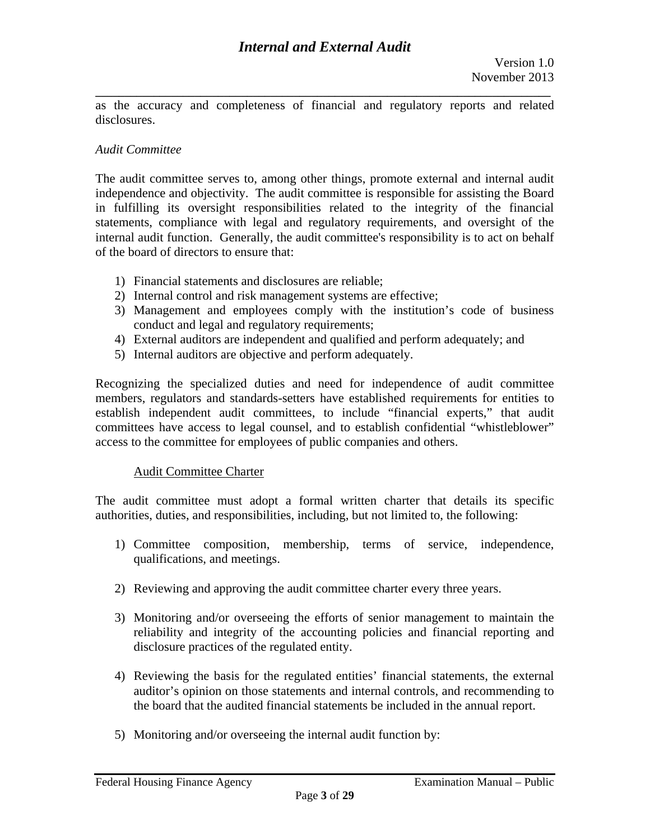**\_\_\_\_\_\_\_\_\_\_\_\_\_\_\_\_\_\_\_\_\_\_\_\_\_\_\_\_\_\_\_\_\_\_\_\_\_\_\_\_\_\_\_\_\_\_\_\_\_\_\_\_\_\_\_\_\_\_\_\_\_\_\_\_\_\_\_\_\_\_\_\_\_\_\_\_\_\_**  as the accuracy and completeness of financial and regulatory reports and related disclosures.

#### *Audit Committee*

The audit committee serves to, among other things, promote external and internal audit independence and objectivity. The audit committee is responsible for assisting the Board in fulfilling its oversight responsibilities related to the integrity of the financial statements, compliance with legal and regulatory requirements, and oversight of the internal audit function. Generally, the audit committee's responsibility is to act on behalf of the board of directors to ensure that:

- 1) Financial statements and disclosures are reliable;
- 2) Internal control and risk management systems are effective;
- 3) Management and employees comply with the institution's code of business conduct and legal and regulatory requirements;
- 4) External auditors are independent and qualified and perform adequately; and
- 5) Internal auditors are objective and perform adequately.

Recognizing the specialized duties and need for independence of audit committee members, regulators and standards-setters have established requirements for entities to establish independent audit committees, to include "financial experts," that audit committees have access to legal counsel, and to establish confidential "whistleblower" access to the committee for employees of public companies and others.

#### Audit Committee Charter

The audit committee must adopt a formal written charter that details its specific authorities, duties, and responsibilities, including, but not limited to, the following:

- 1) Committee composition, membership, terms of service, independence, qualifications, and meetings.
- 2) Reviewing and approving the audit committee charter every three years.
- 3) Monitoring and/or overseeing the efforts of senior management to maintain the reliability and integrity of the accounting policies and financial reporting and disclosure practices of the regulated entity.
- 4) Reviewing the basis for the regulated entities' financial statements, the external auditor's opinion on those statements and internal controls, and recommending to the board that the audited financial statements be included in the annual report.
- 5) Monitoring and/or overseeing the internal audit function by: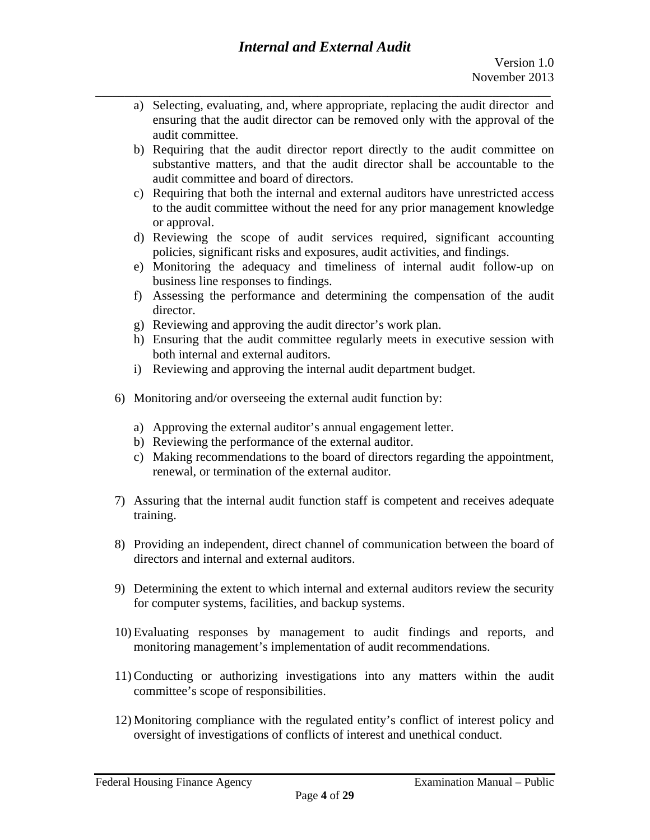- a) Selecting, evaluating, and, where appropriate, replacing the audit director and ensuring that the audit director can be removed only with the approval of the audit committee.
- b) Requiring that the audit director report directly to the audit committee on substantive matters, and that the audit director shall be accountable to the audit committee and board of directors.
- c) Requiring that both the internal and external auditors have unrestricted access to the audit committee without the need for any prior management knowledge or approval.
- d) Reviewing the scope of audit services required, significant accounting policies, significant risks and exposures, audit activities, and findings.
- e) Monitoring the adequacy and timeliness of internal audit follow-up on business line responses to findings.
- f) Assessing the performance and determining the compensation of the audit director.
- g) Reviewing and approving the audit director's work plan.
- h) Ensuring that the audit committee regularly meets in executive session with both internal and external auditors.
- i) Reviewing and approving the internal audit department budget.
- 6) Monitoring and/or overseeing the external audit function by:
	- a) Approving the external auditor's annual engagement letter.
	- b) Reviewing the performance of the external auditor.
	- c) Making recommendations to the board of directors regarding the appointment, renewal, or termination of the external auditor.
- 7) Assuring that the internal audit function staff is competent and receives adequate training.
- 8) Providing an independent, direct channel of communication between the board of directors and internal and external auditors.
- 9) Determining the extent to which internal and external auditors review the security for computer systems, facilities, and backup systems.
- 10) Evaluating responses by management to audit findings and reports, and monitoring management's implementation of audit recommendations.
- 11) Conducting or authorizing investigations into any matters within the audit committee's scope of responsibilities.
- 12) Monitoring compliance with the regulated entity's conflict of interest policy and oversight of investigations of conflicts of interest and unethical conduct.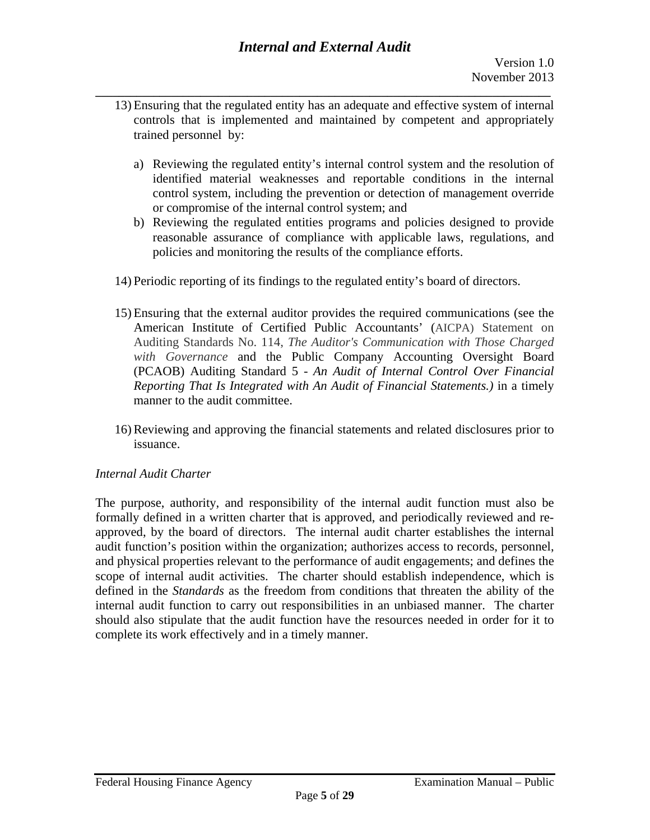- 13) Ensuring that the regulated entity has an adequate and effective system of internal controls that is implemented and maintained by competent and appropriately trained personnel by:
	- a) Reviewing the regulated entity's internal control system and the resolution of identified material weaknesses and reportable conditions in the internal control system, including the prevention or detection of management override or compromise of the internal control system; and
	- b) Reviewing the regulated entities programs and policies designed to provide reasonable assurance of compliance with applicable laws, regulations, and policies and monitoring the results of the compliance efforts.
- 14) Periodic reporting of its findings to the regulated entity's board of directors.
- 15) Ensuring that the external auditor provides the required communications (see the American Institute of Certified Public Accountants' (AICPA) Statement on Auditing Standards No. 114, *The Auditor's Communication with Those Charged with Governance* and the Public Company Accounting Oversight Board (PCAOB) Auditing Standard 5 - *An Audit of Internal Control Over Financial Reporting That Is Integrated with An Audit of Financial Statements.)* in a timely manner to the audit committee.
- 16) Reviewing and approving the financial statements and related disclosures prior to issuance.

### *Internal Audit Charter*

The purpose, authority, and responsibility of the internal audit function must also be formally defined in a written charter that is approved, and periodically reviewed and reapproved, by the board of directors. The internal audit charter establishes the internal audit function's position within the organization; authorizes access to records, personnel, and physical properties relevant to the performance of audit engagements; and defines the scope of internal audit activities. The charter should establish independence, which is defined in the *Standards* as the freedom from conditions that threaten the ability of the internal audit function to carry out responsibilities in an unbiased manner. The charter should also stipulate that the audit function have the resources needed in order for it to complete its work effectively and in a timely manner.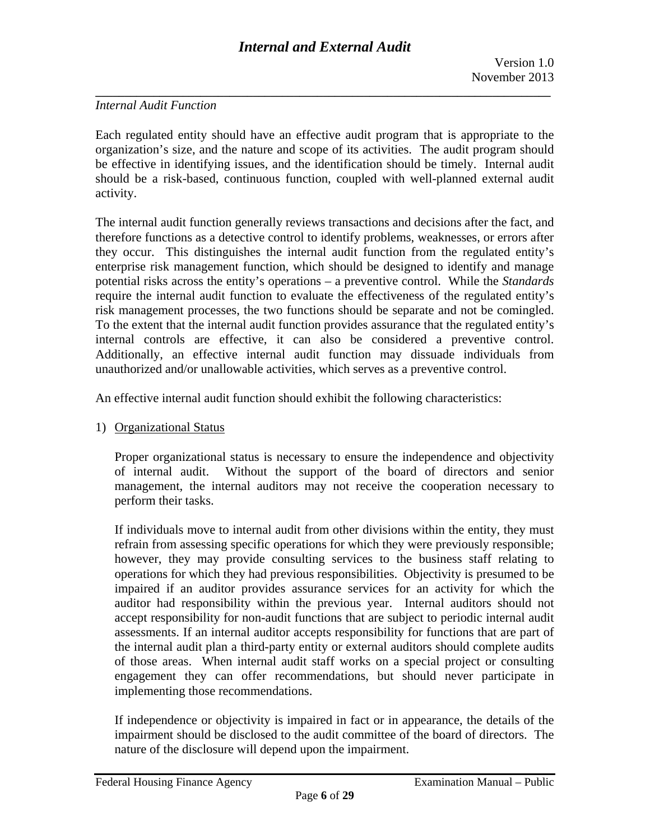### *Internal Audit Function*

Each regulated entity should have an effective audit program that is appropriate to the organization's size, and the nature and scope of its activities. The audit program should be effective in identifying issues, and the identification should be timely. Internal audit should be a risk-based, continuous function, coupled with well-planned external audit activity.

The internal audit function generally reviews transactions and decisions after the fact, and therefore functions as a detective control to identify problems, weaknesses, or errors after they occur. This distinguishes the internal audit function from the regulated entity's enterprise risk management function, which should be designed to identify and manage potential risks across the entity's operations – a preventive control. While the *Standards*  require the internal audit function to evaluate the effectiveness of the regulated entity's risk management processes, the two functions should be separate and not be comingled. To the extent that the internal audit function provides assurance that the regulated entity's internal controls are effective, it can also be considered a preventive control. Additionally, an effective internal audit function may dissuade individuals from unauthorized and/or unallowable activities, which serves as a preventive control.

An effective internal audit function should exhibit the following characteristics:

1) Organizational Status

Proper organizational status is necessary to ensure the independence and objectivity of internal audit. Without the support of the board of directors and senior management, the internal auditors may not receive the cooperation necessary to perform their tasks.

If individuals move to internal audit from other divisions within the entity, they must refrain from assessing specific operations for which they were previously responsible; however, they may provide consulting services to the business staff relating to operations for which they had previous responsibilities. Objectivity is presumed to be impaired if an auditor provides assurance services for an activity for which the auditor had responsibility within the previous year. Internal auditors should not accept responsibility for non-audit functions that are subject to periodic internal audit assessments. If an internal auditor accepts responsibility for functions that are part of the internal audit plan a third-party entity or external auditors should complete audits of those areas. When internal audit staff works on a special project or consulting engagement they can offer recommendations, but should never participate in implementing those recommendations.

If independence or objectivity is impaired in fact or in appearance, the details of the impairment should be disclosed to the audit committee of the board of directors. The nature of the disclosure will depend upon the impairment.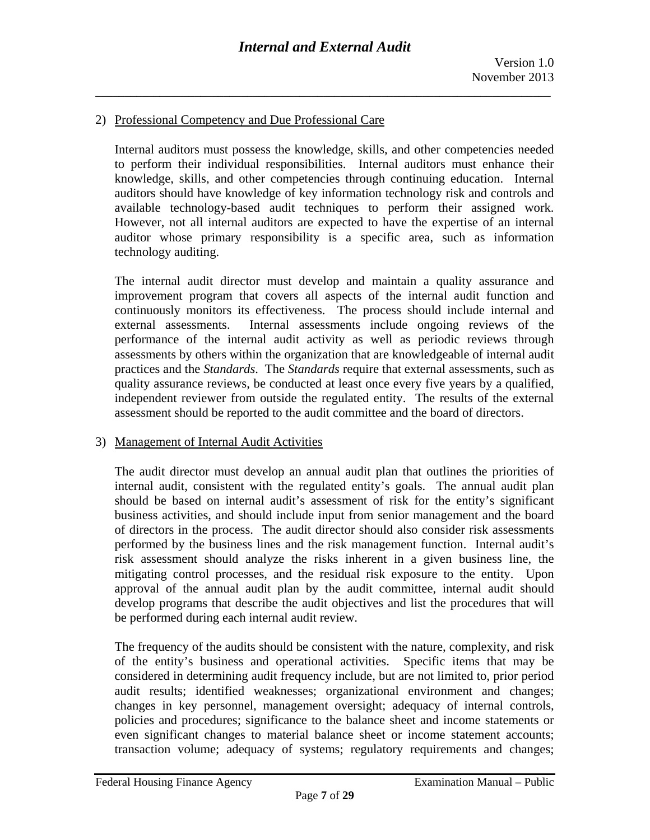#### 2) Professional Competency and Due Professional Care

Internal auditors must possess the knowledge, skills, and other competencies needed to perform their individual responsibilities. Internal auditors must enhance their knowledge, skills, and other competencies through continuing education. Internal auditors should have knowledge of key information technology risk and controls and available technology-based audit techniques to perform their assigned work. However, not all internal auditors are expected to have the expertise of an internal auditor whose primary responsibility is a specific area, such as information technology auditing.

The internal audit director must develop and maintain a quality assurance and improvement program that covers all aspects of the internal audit function and continuously monitors its effectiveness. The process should include internal and external assessments. Internal assessments include ongoing reviews of the performance of the internal audit activity as well as periodic reviews through assessments by others within the organization that are knowledgeable of internal audit practices and the *Standards*. The *Standards* require that external assessments, such as quality assurance reviews, be conducted at least once every five years by a qualified, independent reviewer from outside the regulated entity. The results of the external assessment should be reported to the audit committee and the board of directors.

#### 3) Management of Internal Audit Activities

The audit director must develop an annual audit plan that outlines the priorities of internal audit, consistent with the regulated entity's goals. The annual audit plan should be based on internal audit's assessment of risk for the entity's significant business activities, and should include input from senior management and the board of directors in the process. The audit director should also consider risk assessments performed by the business lines and the risk management function. Internal audit's risk assessment should analyze the risks inherent in a given business line, the mitigating control processes, and the residual risk exposure to the entity. Upon approval of the annual audit plan by the audit committee, internal audit should develop programs that describe the audit objectives and list the procedures that will be performed during each internal audit review.

The frequency of the audits should be consistent with the nature, complexity, and risk of the entity's business and operational activities. Specific items that may be considered in determining audit frequency include, but are not limited to, prior period audit results; identified weaknesses; organizational environment and changes; changes in key personnel, management oversight; adequacy of internal controls, policies and procedures; significance to the balance sheet and income statements or even significant changes to material balance sheet or income statement accounts; transaction volume; adequacy of systems; regulatory requirements and changes;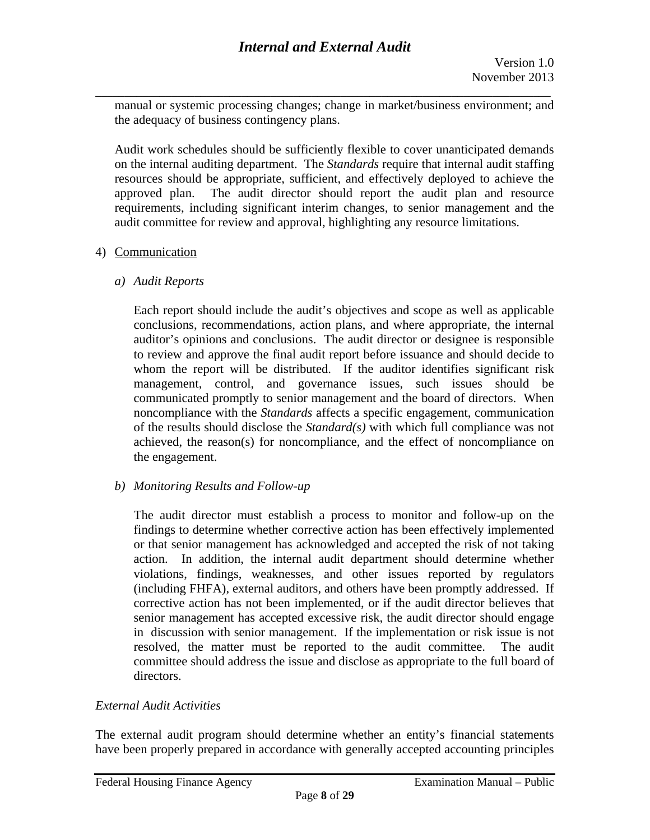manual or systemic processing changes; change in market/business environment; and the adequacy of business contingency plans.

Audit work schedules should be sufficiently flexible to cover unanticipated demands on the internal auditing department. The *Standards* require that internal audit staffing resources should be appropriate, sufficient, and effectively deployed to achieve the approved plan. The audit director should report the audit plan and resource requirements, including significant interim changes, to senior management and the audit committee for review and approval, highlighting any resource limitations.

### 4) Communication

*a) Audit Reports* 

Each report should include the audit's objectives and scope as well as applicable conclusions, recommendations, action plans, and where appropriate, the internal auditor's opinions and conclusions. The audit director or designee is responsible to review and approve the final audit report before issuance and should decide to whom the report will be distributed. If the auditor identifies significant risk management, control, and governance issues, such issues should be communicated promptly to senior management and the board of directors. When noncompliance with the *Standards* affects a specific engagement, communication of the results should disclose the *Standard(s)* with which full compliance was not achieved, the reason(s) for noncompliance, and the effect of noncompliance on the engagement.

#### *b) Monitoring Results and Follow-up*

The audit director must establish a process to monitor and follow-up on the findings to determine whether corrective action has been effectively implemented or that senior management has acknowledged and accepted the risk of not taking action. In addition, the internal audit department should determine whether violations, findings, weaknesses, and other issues reported by regulators (including FHFA), external auditors, and others have been promptly addressed. If corrective action has not been implemented, or if the audit director believes that senior management has accepted excessive risk, the audit director should engage in discussion with senior management. If the implementation or risk issue is not resolved, the matter must be reported to the audit committee. The audit committee should address the issue and disclose as appropriate to the full board of directors.

#### *External Audit Activities*

The external audit program should determine whether an entity's financial statements have been properly prepared in accordance with generally accepted accounting principles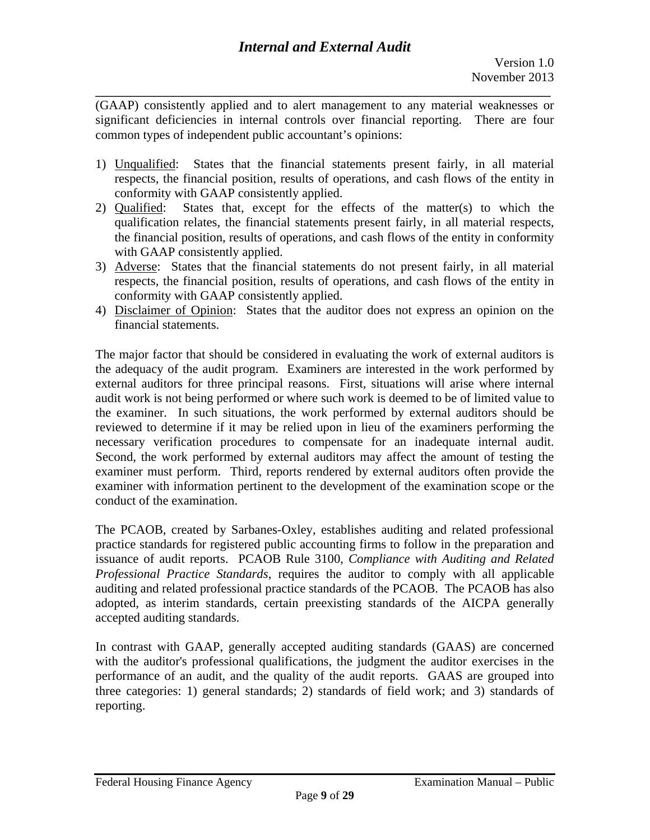(GAAP) consistently applied and to alert management to any material weaknesses or significant deficiencies in internal controls over financial reporting. There are four common types of independent public accountant's opinions:

**\_\_\_\_\_\_\_\_\_\_\_\_\_\_\_\_\_\_\_\_\_\_\_\_\_\_\_\_\_\_\_\_\_\_\_\_\_\_\_\_\_\_\_\_\_\_\_\_\_\_\_\_\_\_\_\_\_\_\_\_\_\_\_\_\_\_\_\_\_\_\_\_\_\_\_\_\_\_** 

- 1) Unqualified: States that the financial statements present fairly, in all material respects, the financial position, results of operations, and cash flows of the entity in conformity with GAAP consistently applied.
- 2) Qualified: States that, except for the effects of the matter(s) to which the qualification relates, the financial statements present fairly, in all material respects, the financial position, results of operations, and cash flows of the entity in conformity with GAAP consistently applied.
- 3) Adverse: States that the financial statements do not present fairly, in all material respects, the financial position, results of operations, and cash flows of the entity in conformity with GAAP consistently applied.
- 4) Disclaimer of Opinion: States that the auditor does not express an opinion on the financial statements.

necessary verification procedures to compensate for an inadequate internal audit. The major factor that should be considered in evaluating the work of external auditors is the adequacy of the audit program. Examiners are interested in the work performed by external auditors for three principal reasons. First, situations will arise where internal audit work is not being performed or where such work is deemed to be of limited value to the examiner. In such situations, the work performed by external auditors should be reviewed to determine if it may be relied upon in lieu of the examiners performing the Second, the work performed by external auditors may affect the amount of testing the examiner must perform. Third, reports rendered by external auditors often provide the examiner with information pertinent to the development of the examination scope or the conduct of the examination.

The PCAOB, created by Sarbanes-Oxley, establishes auditing and related professional practice standards for registered public accounting firms to follow in the preparation and issuance of audit reports. PCAOB Rule 3100, *Compliance with Auditing and Related Professional Practice Standards*, requires the auditor to comply with all applicable auditing and related professional practice standards of the PCAOB. The PCAOB has also adopted, as interim standards, certain preexisting standards of the AICPA generally accepted auditing standards.

In contrast with GAAP, generally accepted auditing standards (GAAS) are concerned with the auditor's professional qualifications, the judgment the auditor exercises in the performance of an audit, and the quality of the audit reports. GAAS are grouped into three categories: 1) general standards; 2) standards of field work; and 3) standards of reporting.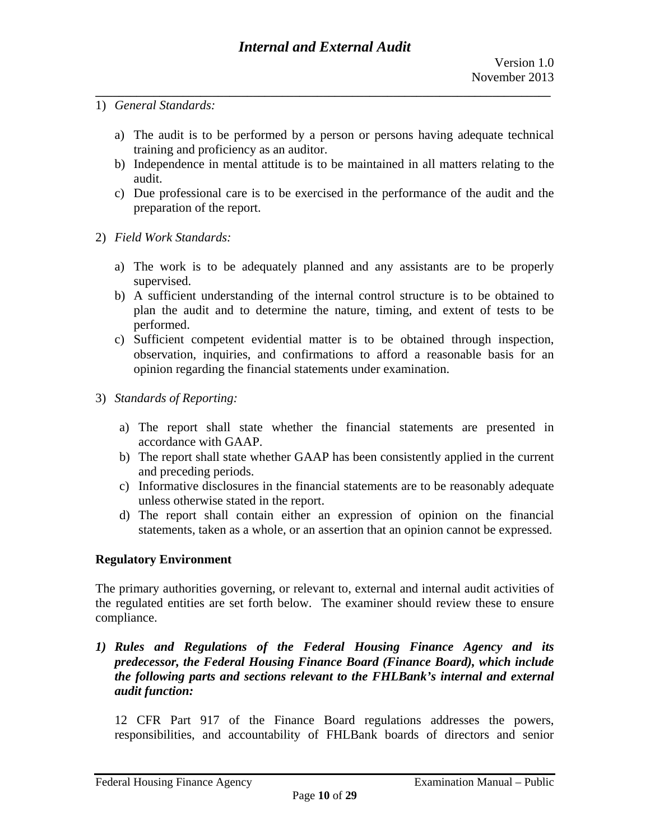- 1) *General Standards:* 
	- a) The audit is to be performed by a person or persons having adequate technical training and proficiency as an auditor.
	- b) Independence in mental attitude is to be maintained in all matters relating to the audit.
	- c) Due professional care is to be exercised in the performance of the audit and the preparation of the report.
- 2) *Field Work Standards:* 
	- a) The work is to be adequately planned and any assistants are to be properly supervised.
	- b) A sufficient understanding of the internal control structure is to be obtained to plan the audit and to determine the nature, timing, and extent of tests to be performed.
	- c) Sufficient competent evidential matter is to be obtained through inspection, observation, inquiries, and confirmations to afford a reasonable basis for an opinion regarding the financial statements under examination.
- 3) *Standards of Reporting:* 
	- a) The report shall state whether the financial statements are presented in accordance with GAAP.
	- b) The report shall state whether GAAP has been consistently applied in the current and preceding periods.
	- c) Informative disclosures in the financial statements are to be reasonably adequate unless otherwise stated in the report.
	- d) The report shall contain either an expression of opinion on the financial statements, taken as a whole, or an assertion that an opinion cannot be expressed.

### **Regulatory Environment**

The primary authorities governing, or relevant to, external and internal audit activities of the regulated entities are set forth below. The examiner should review these to ensure compliance.

*1) Rules and Regulations of the Federal Housing Finance Agency and its predecessor, the Federal Housing Finance Board (Finance Board), which include the following parts and sections relevant to the FHLBank's internal and external audit function:* 

12 CFR Part 917 of the Finance Board regulations addresses the powers, responsibilities, and accountability of FHLBank boards of directors and senior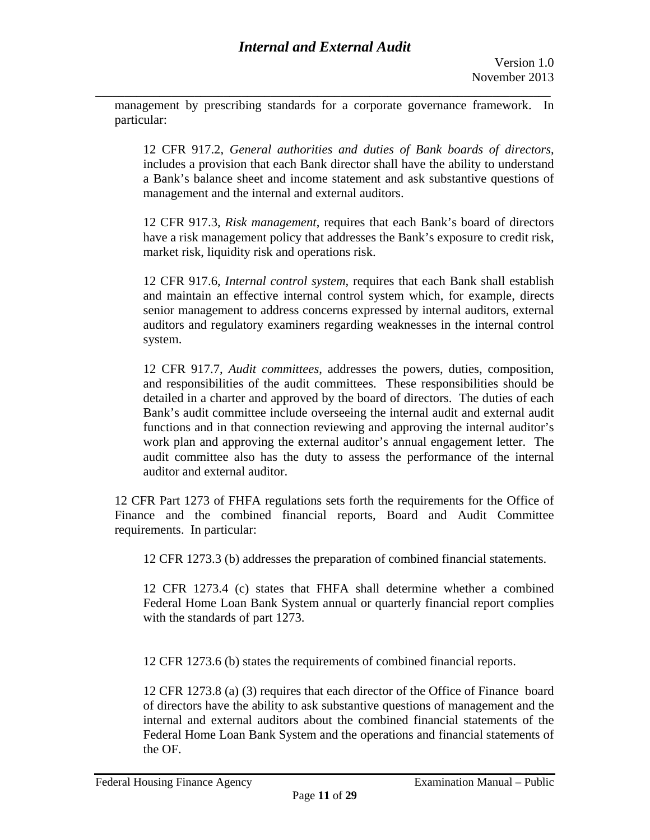management by prescribing standards for a corporate governance framework. In particular:

12 CFR 917.2, *General authorities and duties of Bank boards of directors*, includes a provision that each Bank director shall have the ability to understand a Bank's balance sheet and income statement and ask substantive questions of management and the internal and external auditors.

12 CFR 917.3, *Risk management*, requires that each Bank's board of directors have a risk management policy that addresses the Bank's exposure to credit risk, market risk, liquidity risk and operations risk.

12 CFR 917.6, *Internal control system*, requires that each Bank shall establish and maintain an effective internal control system which, for example, directs senior management to address concerns expressed by internal auditors, external auditors and regulatory examiners regarding weaknesses in the internal control system.

12 CFR 917.7, *Audit committees*, addresses the powers, duties, composition, and responsibilities of the audit committees. These responsibilities should be detailed in a charter and approved by the board of directors. The duties of each Bank's audit committee include overseeing the internal audit and external audit functions and in that connection reviewing and approving the internal auditor's work plan and approving the external auditor's annual engagement letter. The audit committee also has the duty to assess the performance of the internal auditor and external auditor.

12 CFR Part 1273 of FHFA regulations sets forth the requirements for the Office of Finance and the combined financial reports, Board and Audit Committee requirements. In particular:

12 CFR 1273.3 (b) addresses the preparation of combined financial statements.

12 CFR 1273.4 (c) states that FHFA shall determine whether a combined Federal Home Loan Bank System annual or quarterly financial report complies with the standards of part 1273.

12 CFR 1273.6 (b) states the requirements of combined financial reports.

12 CFR 1273.8 (a) (3) requires that each director of the Office of Finance board of directors have the ability to ask substantive questions of management and the internal and external auditors about the combined financial statements of the Federal Home Loan Bank System and the operations and financial statements of the OF.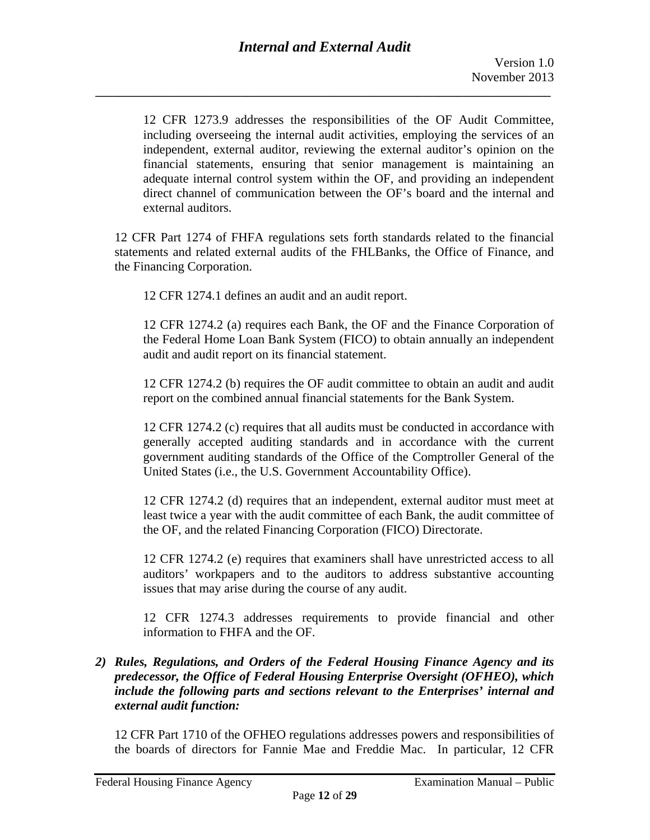12 CFR 1273.9 addresses the responsibilities of the OF Audit Committee, including overseeing the internal audit activities, employing the services of an independent, external auditor, reviewing the external auditor's opinion on the financial statements, ensuring that senior management is maintaining an adequate internal control system within the OF, and providing an independent direct channel of communication between the OF's board and the internal and external auditors.

12 CFR Part 1274 of FHFA regulations sets forth standards related to the financial statements and related external audits of the FHLBanks, the Office of Finance, and the Financing Corporation.

12 CFR 1274.1 defines an audit and an audit report.

12 CFR 1274.2 (a) requires each Bank, the OF and the Finance Corporation of the Federal Home Loan Bank System (FICO) to obtain annually an independent audit and audit report on its financial statement.

12 CFR 1274.2 (b) requires the OF audit committee to obtain an audit and audit report on the combined annual financial statements for the Bank System.

12 CFR 1274.2 (c) requires that all audits must be conducted in accordance with generally accepted auditing standards and in accordance with the current government auditing standards of the Office of the Comptroller General of the United States (i.e., the U.S. Government Accountability Office).

12 CFR 1274.2 (d) requires that an independent, external auditor must meet at least twice a year with the audit committee of each Bank, the audit committee of the OF, and the related Financing Corporation (FICO) Directorate.

12 CFR 1274.2 (e) requires that examiners shall have unrestricted access to all auditors' workpapers and to the auditors to address substantive accounting issues that may arise during the course of any audit.

12 CFR 1274.3 addresses requirements to provide financial and other information to FHFA and the OF.

## *2) Rules, Regulations, and Orders of the Federal Housing Finance Agency and its predecessor, the Office of Federal Housing Enterprise Oversight (OFHEO), which include the following parts and sections relevant to the Enterprises' internal and external audit function:*

12 CFR Part 1710 of the OFHEO regulations addresses powers and responsibilities of the boards of directors for Fannie Mae and Freddie Mac. In particular, 12 CFR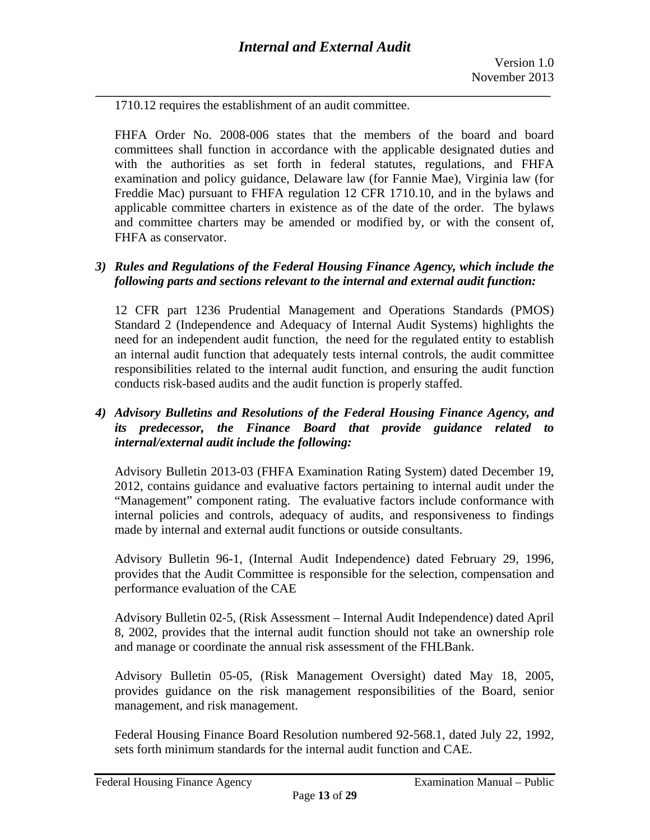1710.12 requires the establishment of an audit committee.

FHFA Order No. 2008-006 states that the members of the board and board committees shall function in accordance with the applicable designated duties and with the authorities as set forth in federal statutes, regulations, and FHFA examination and policy guidance, Delaware law (for Fannie Mae), Virginia law (for Freddie Mac) pursuant to FHFA regulation 12 CFR 1710.10, and in the bylaws and applicable committee charters in existence as of the date of the order. The bylaws and committee charters may be amended or modified by, or with the consent of, FHFA as conservator.

#### *3) Rules and Regulations of the Federal Housing Finance Agency, which include the following parts and sections relevant to the internal and external audit function:*

12 CFR part 1236 Prudential Management and Operations Standards (PMOS) Standard 2 (Independence and Adequacy of Internal Audit Systems) highlights the need for an independent audit function, the need for the regulated entity to establish an internal audit function that adequately tests internal controls, the audit committee responsibilities related to the internal audit function, and ensuring the audit function conducts risk-based audits and the audit function is properly staffed.

### *4) Advisory Bulletins and Resolutions of the Federal Housing Finance Agency, and its predecessor, the Finance Board that provide guidance related to internal/external audit include the following:*

Advisory Bulletin 2013-03 (FHFA Examination Rating System) dated December 19, 2012, contains guidance and evaluative factors pertaining to internal audit under the "Management" component rating. The evaluative factors include conformance with internal policies and controls, adequacy of audits, and responsiveness to findings made by internal and external audit functions or outside consultants.

Advisory Bulletin 96-1, (Internal Audit Independence) dated February 29, 1996, provides that the Audit Committee is responsible for the selection, compensation and performance evaluation of the CAE

Advisory Bulletin 02-5, (Risk Assessment – Internal Audit Independence) dated April 8, 2002, provides that the internal audit function should not take an ownership role and manage or coordinate the annual risk assessment of the FHLBank.

Advisory Bulletin 05-05, (Risk Management Oversight) dated May 18, 2005, provides guidance on the risk management responsibilities of the Board, senior management, and risk management.

Federal Housing Finance Board Resolution numbered 92-568.1, dated July 22, 1992, sets forth minimum standards for the internal audit function and CAE.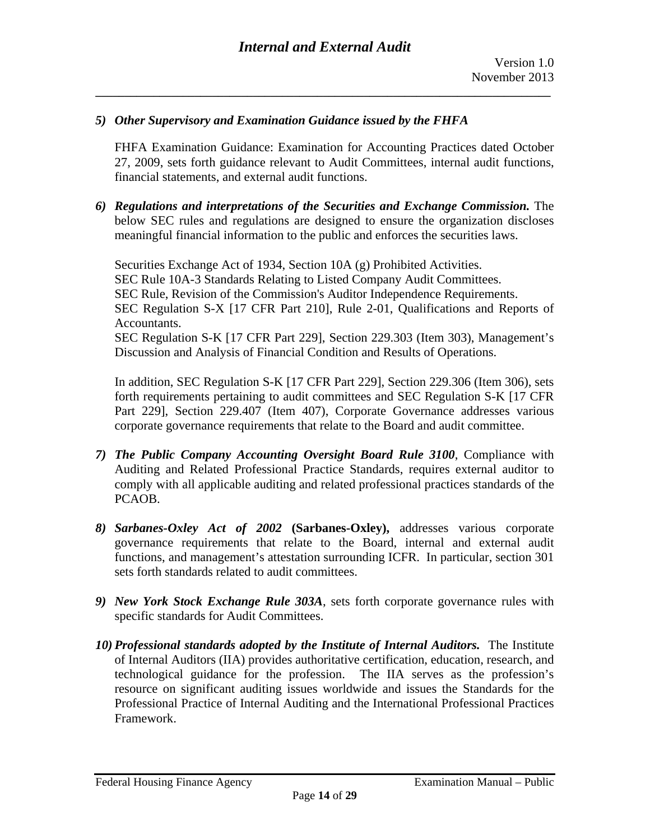#### *5) Other Supervisory and Examination Guidance issued by the FHFA*

FHFA Examination Guidance: Examination for Accounting Practices dated October 27, 2009, sets forth guidance relevant to Audit Committees, internal audit functions, financial statements, and external audit functions.

*6) Regulations and interpretations of the Securities and Exchange Commission.* The below SEC rules and regulations are designed to ensure the organization discloses meaningful financial information to the public and enforces the securities laws.

Securities Exchange Act of 1934, Section 10A (g) Prohibited Activities. SEC Rule 10A-3 Standards Relating to Listed Company Audit Committees. SEC Rule, Revision of the Commission's Auditor Independence Requirements. SEC Regulation S-X [17 CFR Part 210], Rule 2-01, Qualifications and Reports of Accountants. SEC Regulation S-K [17 CFR Part 229], Section 229.303 (Item 303), Management's Discussion and Analysis of Financial Condition and Results of Operations.

In addition, SEC Regulation S-K [17 CFR Part 229], Section 229.306 (Item 306), sets forth requirements pertaining to audit committees and SEC Regulation S-K [17 CFR Part 229], Section 229.407 (Item 407), Corporate Governance addresses various corporate governance requirements that relate to the Board and audit committee.

- *7) The Public Company Accounting Oversight Board Rule 3100*, Compliance with Auditing and Related Professional Practice Standards, requires external auditor to comply with all applicable auditing and related professional practices standards of the PCAOB.
- *8) Sarbanes-Oxley Act of 2002* **(Sarbanes-Oxley),** addresses various corporate governance requirements that relate to the Board, internal and external audit functions, and management's attestation surrounding ICFR. In particular, section 301 sets forth standards related to audit committees.
- *9) New York Stock Exchange Rule 303A*, sets forth corporate governance rules with specific standards for Audit Committees.
- *10) Professional standards adopted by the Institute of Internal Auditors.* The Institute of Internal Auditors (IIA) provides authoritative certification, education, research, and technological guidance for the profession. The IIA serves as the profession's resource on significant auditing issues worldwide and issues the Standards for the Professional Practice of Internal Auditing and the International Professional Practices Framework.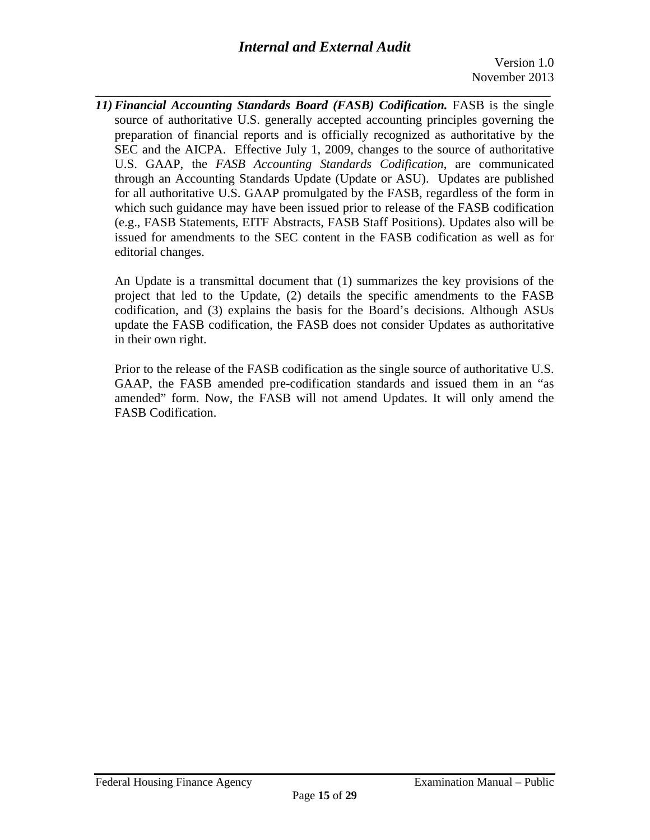**\_\_\_\_\_\_\_\_\_\_\_\_\_\_\_\_\_\_\_\_\_\_\_\_\_\_\_\_\_\_\_\_\_\_\_\_\_\_\_\_\_\_\_\_\_\_\_\_\_\_\_\_\_\_\_\_\_\_\_\_\_\_\_\_\_\_\_\_\_\_\_\_\_\_\_\_\_\_**  *11) Financial Accounting Standards Board (FASB) Codification.* FASB is the single source of authoritative U.S. generally accepted accounting principles governing the preparation of financial reports and is officially recognized as authoritative by the SEC and the AICPA. Effective July 1, 2009, changes to the source of authoritative U.S. GAAP, the *FASB Accounting Standards Codification*, are communicated through an Accounting Standards Update (Update or ASU). Updates are published for all authoritative U.S. GAAP promulgated by the FASB, regardless of the form in which such guidance may have been issued prior to release of the FASB codification (e.g., FASB Statements, EITF Abstracts, FASB Staff Positions). Updates also will be issued for amendments to the SEC content in the FASB codification as well as for editorial changes.

An Update is a transmittal document that (1) summarizes the key provisions of the project that led to the Update, (2) details the specific amendments to the FASB codification, and (3) explains the basis for the Board's decisions. Although ASUs update the FASB codification, the FASB does not consider Updates as authoritative in their own right.

Prior to the release of the FASB codification as the single source of authoritative U.S. GAAP, the FASB amended pre-codification standards and issued them in an "as amended" form. Now, the FASB will not amend Updates. It will only amend the FASB Codification.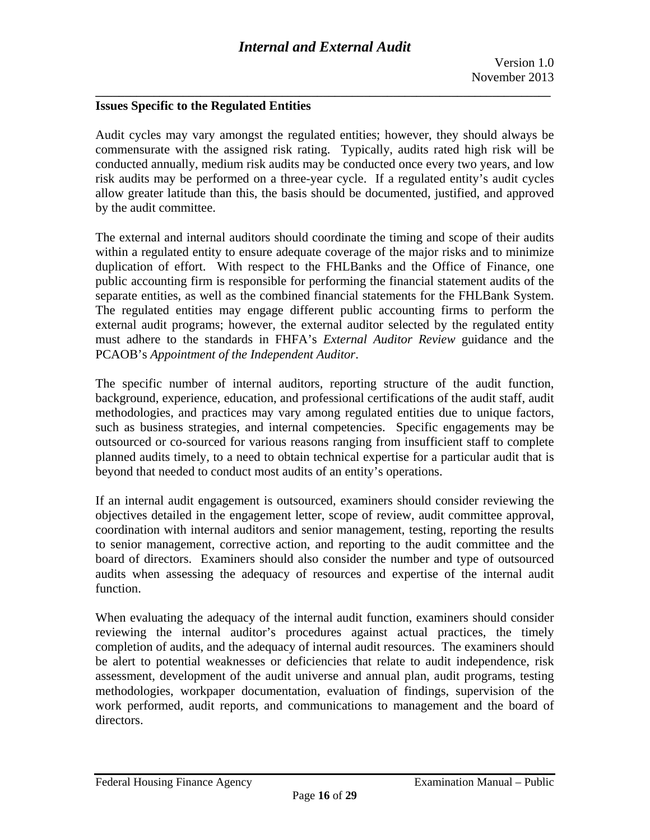# **Issues Specific to the Regulated Entities**

Audit cycles may vary amongst the regulated entities; however, they should always be commensurate with the assigned risk rating. Typically, audits rated high risk will be conducted annually, medium risk audits may be conducted once every two years, and low risk audits may be performed on a three-year cycle. If a regulated entity's audit cycles allow greater latitude than this, the basis should be documented, justified, and approved by the audit committee.

The external and internal auditors should coordinate the timing and scope of their audits within a regulated entity to ensure adequate coverage of the major risks and to minimize duplication of effort. With respect to the FHLBanks and the Office of Finance, one public accounting firm is responsible for performing the financial statement audits of the separate entities, as well as the combined financial statements for the FHLBank System. The regulated entities may engage different public accounting firms to perform the external audit programs; however, the external auditor selected by the regulated entity must adhere to the standards in FHFA's *External Auditor Review* guidance and the PCAOB's *Appointment of the Independent Auditor*.

The specific number of internal auditors, reporting structure of the audit function, background, experience, education, and professional certifications of the audit staff, audit methodologies, and practices may vary among regulated entities due to unique factors, such as business strategies, and internal competencies. Specific engagements may be outsourced or co-sourced for various reasons ranging from insufficient staff to complete planned audits timely, to a need to obtain technical expertise for a particular audit that is beyond that needed to conduct most audits of an entity's operations.

If an internal audit engagement is outsourced, examiners should consider reviewing the objectives detailed in the engagement letter, scope of review, audit committee approval, coordination with internal auditors and senior management, testing, reporting the results to senior management, corrective action, and reporting to the audit committee and the board of directors. Examiners should also consider the number and type of outsourced audits when assessing the adequacy of resources and expertise of the internal audit function.

When evaluating the adequacy of the internal audit function, examiners should consider reviewing the internal auditor's procedures against actual practices, the timely completion of audits, and the adequacy of internal audit resources. The examiners should be alert to potential weaknesses or deficiencies that relate to audit independence, risk assessment, development of the audit universe and annual plan, audit programs, testing methodologies, workpaper documentation, evaluation of findings, supervision of the work performed, audit reports, and communications to management and the board of directors.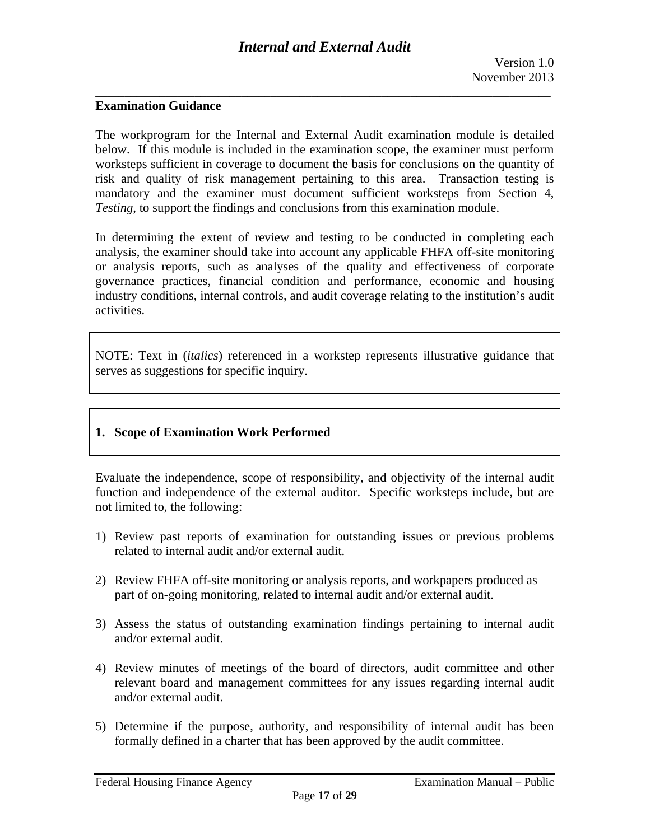#### **Examination Guidance**

The workprogram for the Internal and External Audit examination module is detailed below. If this module is included in the examination scope, the examiner must perform worksteps sufficient in coverage to document the basis for conclusions on the quantity of risk and quality of risk management pertaining to this area. Transaction testing is mandatory and the examiner must document sufficient worksteps from Section 4, *Testing*, to support the findings and conclusions from this examination module.

In determining the extent of review and testing to be conducted in completing each analysis, the examiner should take into account any applicable FHFA off-site monitoring or analysis reports, such as analyses of the quality and effectiveness of corporate governance practices, financial condition and performance, economic and housing industry conditions, internal controls, and audit coverage relating to the institution's audit activities.

NOTE: Text in (*italics*) referenced in a workstep represents illustrative guidance that serves as suggestions for specific inquiry.

### **1. Scope of Examination Work Performed**

Evaluate the independence, scope of responsibility, and objectivity of the internal audit function and independence of the external auditor. Specific worksteps include, but are not limited to, the following:

- 1) Review past reports of examination for outstanding issues or previous problems related to internal audit and/or external audit.
- 2) Review FHFA off-site monitoring or analysis reports, and workpapers produced as part of on-going monitoring, related to internal audit and/or external audit.
- 3) Assess the status of outstanding examination findings pertaining to internal audit and/or external audit.
- 4) Review minutes of meetings of the board of directors, audit committee and other relevant board and management committees for any issues regarding internal audit and/or external audit.
- 5) Determine if the purpose, authority, and responsibility of internal audit has been formally defined in a charter that has been approved by the audit committee.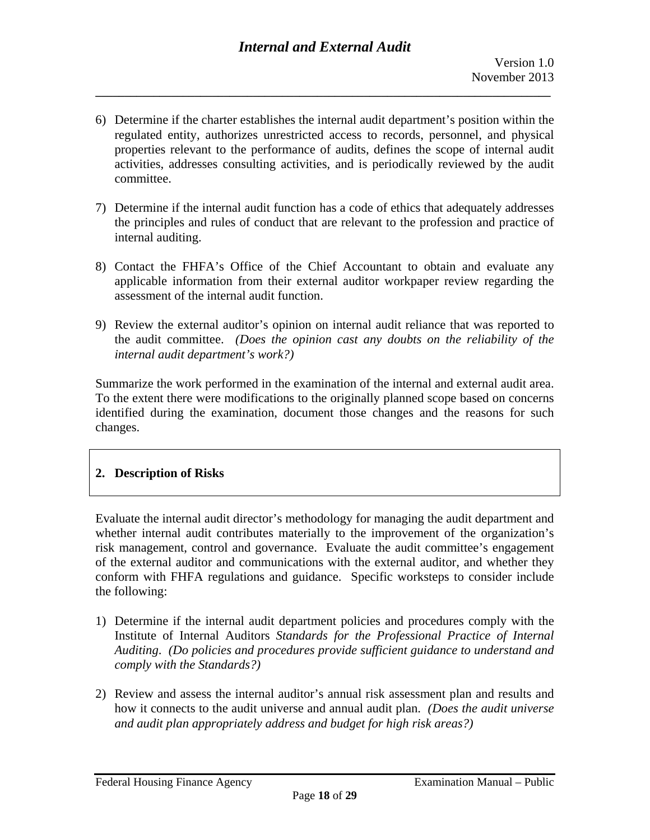- 6) Determine if the charter establishes the internal audit department's position within the regulated entity, authorizes unrestricted access to records, personnel, and physical properties relevant to the performance of audits, defines the scope of internal audit activities, addresses consulting activities, and is periodically reviewed by the audit committee.
- 7) Determine if the internal audit function has a code of ethics that adequately addresses the principles and rules of conduct that are relevant to the profession and practice of internal auditing.
- 8) Contact the FHFA's Office of the Chief Accountant to obtain and evaluate any applicable information from their external auditor workpaper review regarding the assessment of the internal audit function.
- 9) Review the external auditor's opinion on internal audit reliance that was reported to the audit committee. *(Does the opinion cast any doubts on the reliability of the internal audit department's work?)*

Summarize the work performed in the examination of the internal and external audit area. To the extent there were modifications to the originally planned scope based on concerns identified during the examination, document those changes and the reasons for such changes.

### **2. Description of Risks**

Evaluate the internal audit director's methodology for managing the audit department and whether internal audit contributes materially to the improvement of the organization's risk management, control and governance. Evaluate the audit committee's engagement of the external auditor and communications with the external auditor, and whether they conform with FHFA regulations and guidance. Specific worksteps to consider include the following:

- 1) Determine if the internal audit department policies and procedures comply with the Institute of Internal Auditors *Standards for the Professional Practice of Internal Auditing*. *(Do policies and procedures provide sufficient guidance to understand and comply with the Standards?)*
- 2) Review and assess the internal auditor's annual risk assessment plan and results and how it connects to the audit universe and annual audit plan. *(Does the audit universe and audit plan appropriately address and budget for high risk areas?)*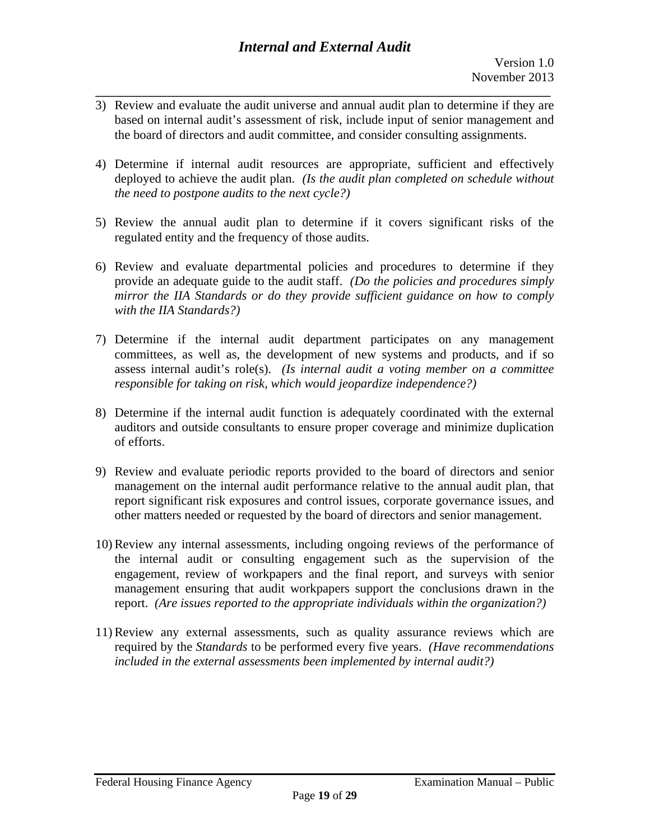3) Review and evaluate the audit universe and annual audit plan to determine if they are based on internal audit's assessment of risk, include input of senior management and the board of directors and audit committee, and consider consulting assignments.

**\_\_\_\_\_\_\_\_\_\_\_\_\_\_\_\_\_\_\_\_\_\_\_\_\_\_\_\_\_\_\_\_\_\_\_\_\_\_\_\_\_\_\_\_\_\_\_\_\_\_\_\_\_\_\_\_\_\_\_\_\_\_\_\_\_\_\_\_\_\_\_\_\_\_\_\_\_\_** 

- 4) Determine if internal audit resources are appropriate, sufficient and effectively deployed to achieve the audit plan. *(Is the audit plan completed on schedule without the need to postpone audits to the next cycle?)*
- 5) Review the annual audit plan to determine if it covers significant risks of the regulated entity and the frequency of those audits.
- 6) Review and evaluate departmental policies and procedures to determine if they provide an adequate guide to the audit staff. *(Do the policies and procedures simply mirror the IIA Standards or do they provide sufficient guidance on how to comply with the IIA Standards?)*
- 7) Determine if the internal audit department participates on any management committees, as well as, the development of new systems and products, and if so assess internal audit's role(s). *(Is internal audit a voting member on a committee responsible for taking on risk, which would jeopardize independence?)*
- 8) Determine if the internal audit function is adequately coordinated with the external auditors and outside consultants to ensure proper coverage and minimize duplication of efforts.
- 9) Review and evaluate periodic reports provided to the board of directors and senior management on the internal audit performance relative to the annual audit plan, that report significant risk exposures and control issues, corporate governance issues, and other matters needed or requested by the board of directors and senior management.
- 10) Review any internal assessments, including ongoing reviews of the performance of the internal audit or consulting engagement such as the supervision of the engagement, review of workpapers and the final report, and surveys with senior management ensuring that audit workpapers support the conclusions drawn in the report. *(Are issues reported to the appropriate individuals within the organization?)*
- 11) Review any external assessments, such as quality assurance reviews which are required by the *Standards* to be performed every five years. *(Have recommendations included in the external assessments been implemented by internal audit?)*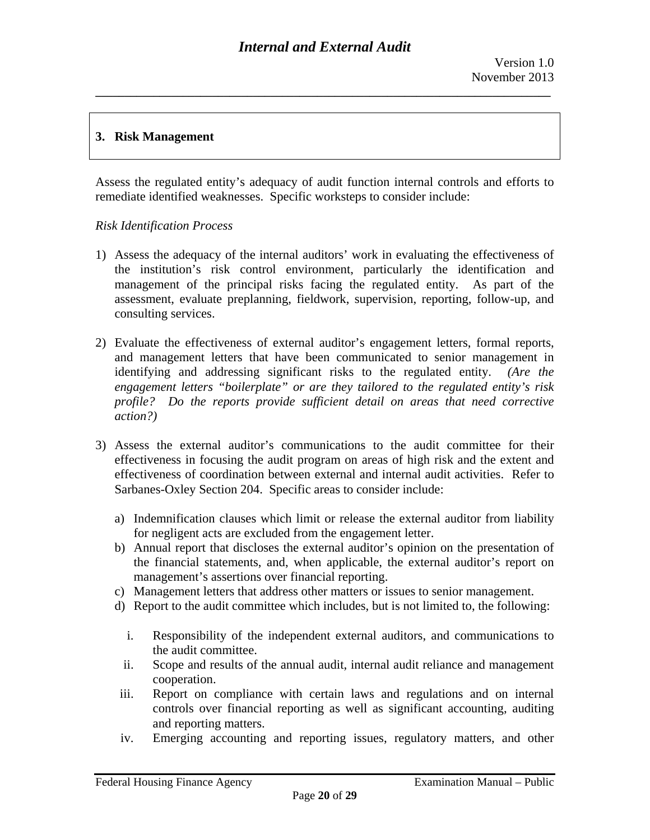### **3. Risk Management**

Assess the regulated entity's adequacy of audit function internal controls and efforts to remediate identified weaknesses. Specific worksteps to consider include:

#### *Risk Identification Process*

- 1) Assess the adequacy of the internal auditors' work in evaluating the effectiveness of the institution's risk control environment, particularly the identification and management of the principal risks facing the regulated entity. As part of the assessment, evaluate preplanning, fieldwork, supervision, reporting, follow-up, and consulting services.
- identifying and addressing significant risks to the regulated entity. *(Are the*  2) Evaluate the effectiveness of external auditor's engagement letters, formal reports, and management letters that have been communicated to senior management in *engagement letters "boilerplate" or are they tailored to the regulated entity's risk profile? Do the reports provide sufficient detail on areas that need corrective action?)*
- 3) Assess the external auditor's communications to the audit committee for their effectiveness in focusing the audit program on areas of high risk and the extent and effectiveness of coordination between external and internal audit activities. Refer to Sarbanes-Oxley Section 204. Specific areas to consider include:
	- a) Indemnification clauses which limit or release the external auditor from liability for negligent acts are excluded from the engagement letter.
	- b) Annual report that discloses the external auditor's opinion on the presentation of the financial statements, and, when applicable, the external auditor's report on management's assertions over financial reporting.
	- c) Management letters that address other matters or issues to senior management.
	- d) Report to the audit committee which includes, but is not limited to, the following:
		- i. Responsibility of the independent external auditors, and communications to the audit committee.
		- ii. Scope and results of the annual audit, internal audit reliance and management cooperation.
	- iii. Report on compliance with certain laws and regulations and on internal controls over financial reporting as well as significant accounting, auditing and reporting matters.
	- iv. Emerging accounting and reporting issues, regulatory matters, and other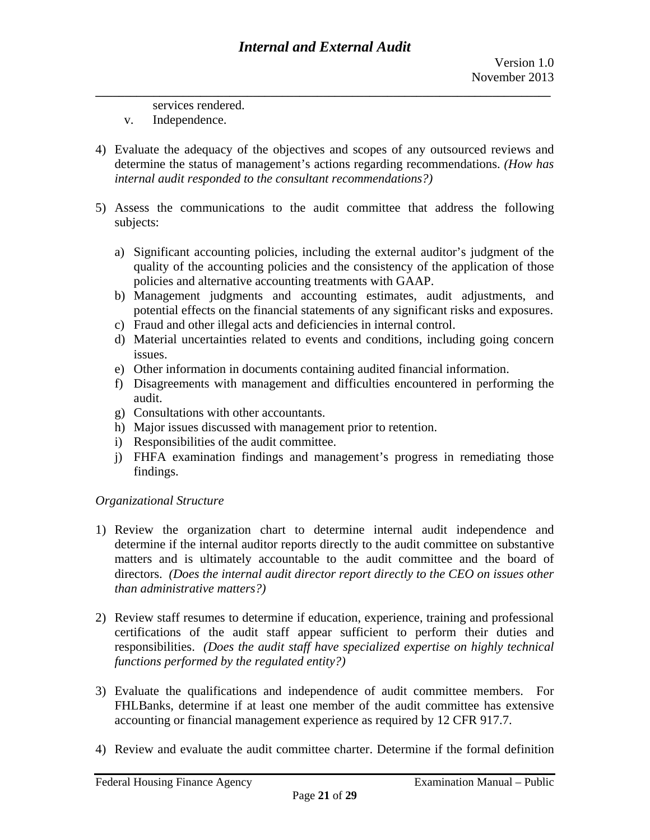services rendered.

- v. Independence.
- 4) Evaluate the adequacy of the objectives and scopes of any outsourced reviews and determine the status of management's actions regarding recommendations. *(How has internal audit responded to the consultant recommendations?)*
- 5) Assess the communications to the audit committee that address the following subjects:
	- a) Significant accounting policies, including the external auditor's judgment of the quality of the accounting policies and the consistency of the application of those policies and alternative accounting treatments with GAAP.
	- b) Management judgments and accounting estimates, audit adjustments, and potential effects on the financial statements of any significant risks and exposures.
	- c) Fraud and other illegal acts and deficiencies in internal control.
	- d) Material uncertainties related to events and conditions, including going concern issues.
	- e) Other information in documents containing audited financial information.
	- f) Disagreements with management and difficulties encountered in performing the audit.
	- g) Consultations with other accountants.
	- h) Major issues discussed with management prior to retention.
	- i) Responsibilities of the audit committee.
	- j) FHFA examination findings and management's progress in remediating those findings.

### *Organizational Structure*

- 1) Review the organization chart to determine internal audit independence and determine if the internal auditor reports directly to the audit committee on substantive matters and is ultimately accountable to the audit committee and the board of directors. *(Does the internal audit director report directly to the CEO on issues other than administrative matters?)*
- 2) Review staff resumes to determine if education, experience, training and professional certifications of the audit staff appear sufficient to perform their duties and responsibilities. *(Does the audit staff have specialized expertise on highly technical functions performed by the regulated entity?)*
- 3) Evaluate the qualifications and independence of audit committee members. For FHLBanks, determine if at least one member of the audit committee has extensive accounting or financial management experience as required by 12 CFR 917.7.
- 4) Review and evaluate the audit committee charter. Determine if the formal definition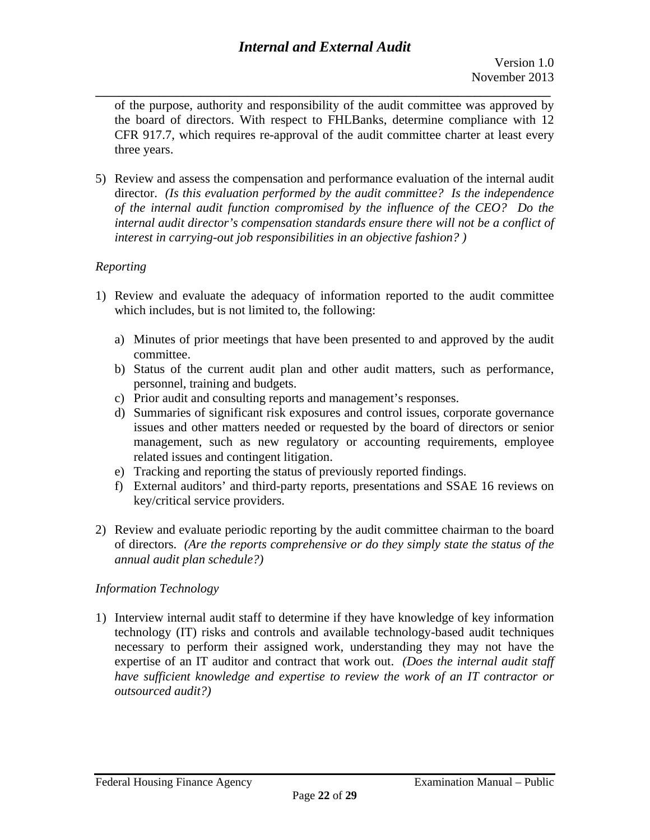of the purpose, authority and responsibility of the audit committee was approved by the board of directors. With respect to FHLBanks, determine compliance with 12 CFR 917.7, which requires re-approval of the audit committee charter at least every three years.

5) Review and assess the compensation and performance evaluation of the internal audit director. *(Is this evaluation performed by the audit committee? Is the independence of the internal audit function compromised by the influence of the CEO? Do the internal audit director's compensation standards ensure there will not be a conflict of interest in carrying-out job responsibilities in an objective fashion? )* 

# *Reporting*

- 1) Review and evaluate the adequacy of information reported to the audit committee which includes, but is not limited to, the following:
	- a) Minutes of prior meetings that have been presented to and approved by the audit committee.
	- b) Status of the current audit plan and other audit matters, such as performance, personnel, training and budgets.
	- c) Prior audit and consulting reports and management's responses.
	- d) Summaries of significant risk exposures and control issues, corporate governance issues and other matters needed or requested by the board of directors or senior management, such as new regulatory or accounting requirements, employee related issues and contingent litigation.
	- e) Tracking and reporting the status of previously reported findings.
	- f) External auditors' and third-party reports, presentations and SSAE 16 reviews on key/critical service providers.
- 2) Review and evaluate periodic reporting by the audit committee chairman to the board of directors. *(Are the reports comprehensive or do they simply state the status of the annual audit plan schedule?)*

### *Information Technology*

1) Interview internal audit staff to determine if they have knowledge of key information technology (IT) risks and controls and available technology-based audit techniques necessary to perform their assigned work, understanding they may not have the expertise of an IT auditor and contract that work out. *(Does the internal audit staff have sufficient knowledge and expertise to review the work of an IT contractor or outsourced audit?)*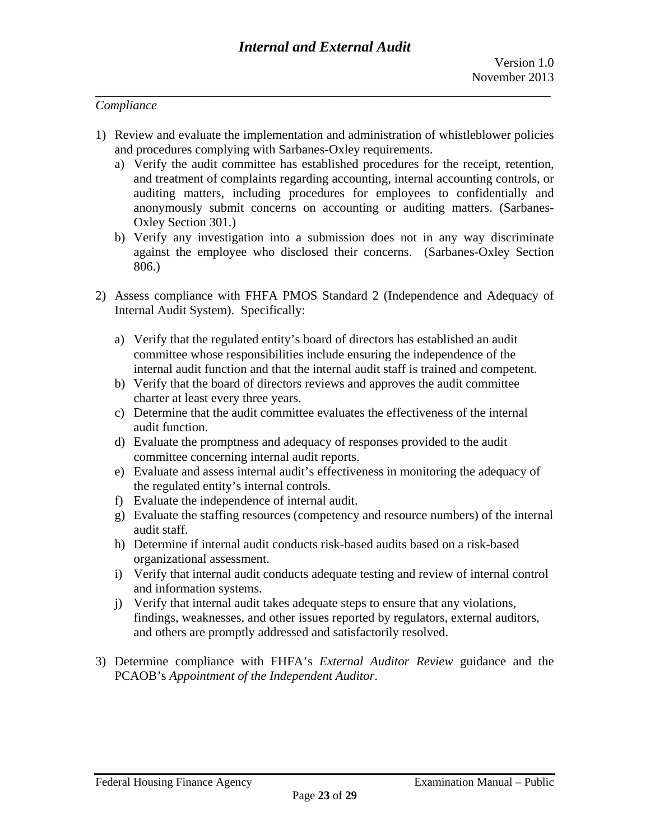#### *Compliance*

- 1) Review and evaluate the implementation and administration of whistleblower policies and procedures complying with Sarbanes-Oxley requirements.
	- a) Verify the audit committee has established procedures for the receipt, retention, and treatment of complaints regarding accounting, internal accounting controls, or auditing matters, including procedures for employees to confidentially and anonymously submit concerns on accounting or auditing matters. (Sarbanes-Oxley Section 301.)
	- b) Verify any investigation into a submission does not in any way discriminate against the employee who disclosed their concerns. (Sarbanes-Oxley Section 806.)
- 2) Assess compliance with FHFA PMOS Standard 2 (Independence and Adequacy of Internal Audit System). Specifically:
	- a) Verify that the regulated entity's board of directors has established an audit committee whose responsibilities include ensuring the independence of the internal audit function and that the internal audit staff is trained and competent.
	- b) Verify that the board of directors reviews and approves the audit committee charter at least every three years.
	- c) Determine that the audit committee evaluates the effectiveness of the internal audit function.
	- d) Evaluate the promptness and adequacy of responses provided to the audit committee concerning internal audit reports.
	- e) Evaluate and assess internal audit's effectiveness in monitoring the adequacy of the regulated entity's internal controls.
	- f) Evaluate the independence of internal audit.
	- g) Evaluate the staffing resources (competency and resource numbers) of the internal audit staff.
	- h) Determine if internal audit conducts risk-based audits based on a risk-based organizational assessment.
	- i) Verify that internal audit conducts adequate testing and review of internal control and information systems.
	- j) Verify that internal audit takes adequate steps to ensure that any violations, findings, weaknesses, and other issues reported by regulators, external auditors, and others are promptly addressed and satisfactorily resolved.
- 3) Determine compliance with FHFA's *External Auditor Review* guidance and the PCAOB's *Appointment of the Independent Auditor*.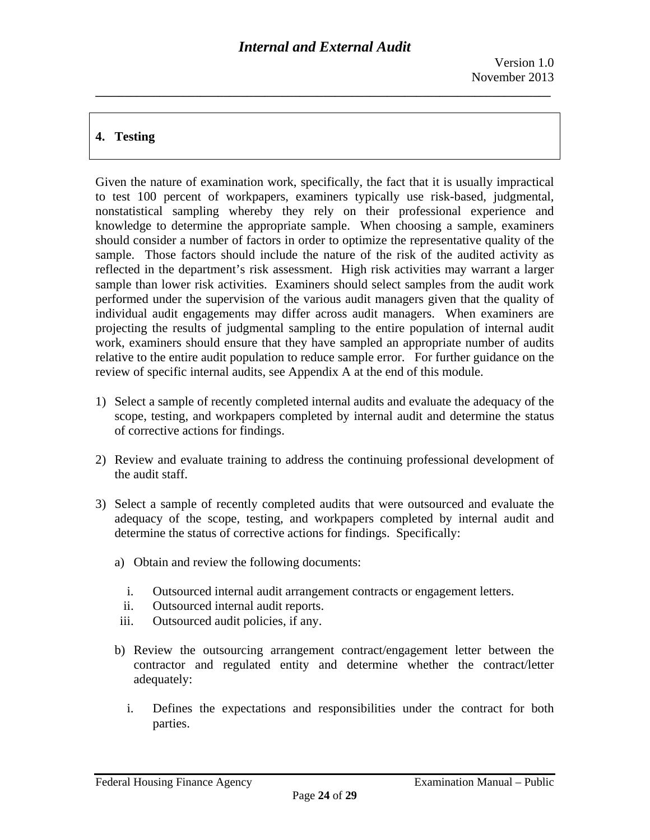# **4. Testing**

Given the nature of examination work, specifically, the fact that it is usually impractical to test 100 percent of workpapers, examiners typically use risk-based, judgmental, nonstatistical sampling whereby they rely on their professional experience and knowledge to determine the appropriate sample. When choosing a sample, examiners should consider a number of factors in order to optimize the representative quality of the sample. Those factors should include the nature of the risk of the audited activity as reflected in the department's risk assessment. High risk activities may warrant a larger sample than lower risk activities. Examiners should select samples from the audit work performed under the supervision of the various audit managers given that the quality of individual audit engagements may differ across audit managers. When examiners are projecting the results of judgmental sampling to the entire population of internal audit work, examiners should ensure that they have sampled an appropriate number of audits relative to the entire audit population to reduce sample error. For further guidance on the review of specific internal audits, see Appendix A at the end of this module.

- 1) Select a sample of recently completed internal audits and evaluate the adequacy of the scope, testing, and workpapers completed by internal audit and determine the status of corrective actions for findings.
- 2) Review and evaluate training to address the continuing professional development of the audit staff.
- 3) Select a sample of recently completed audits that were outsourced and evaluate the adequacy of the scope, testing, and workpapers completed by internal audit and determine the status of corrective actions for findings. Specifically:
	- a) Obtain and review the following documents:
		- i. Outsourced internal audit arrangement contracts or engagement letters.
		- ii. Outsourced internal audit reports.
	- iii. Outsourced audit policies, if any.
	- b) Review the outsourcing arrangement contract/engagement letter between the contractor and regulated entity and determine whether the contract/letter adequately:
		- i. Defines the expectations and responsibilities under the contract for both parties.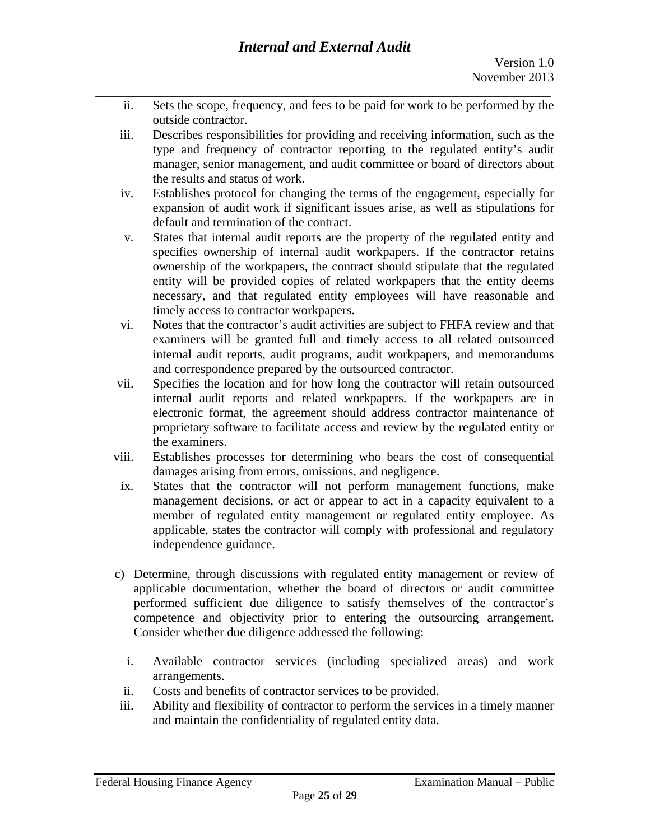- **\_\_\_\_\_\_\_\_\_\_\_\_\_\_\_\_\_\_\_\_\_\_\_\_\_\_\_\_\_\_\_\_\_\_\_\_\_\_\_\_\_\_\_\_\_\_\_\_\_\_\_\_\_\_\_\_\_\_\_\_\_\_\_\_\_\_\_\_\_\_\_\_\_\_\_\_\_\_**  ii. Sets the scope, frequency, and fees to be paid for work to be performed by the outside contractor.
	- iii. Describes responsibilities for providing and receiving information, such as the type and frequency of contractor reporting to the regulated entity's audit manager, senior management, and audit committee or board of directors about the results and status of work.
	- iv. Establishes protocol for changing the terms of the engagement, especially for expansion of audit work if significant issues arise, as well as stipulations for default and termination of the contract.
	- v. States that internal audit reports are the property of the regulated entity and specifies ownership of internal audit workpapers. If the contractor retains ownership of the workpapers, the contract should stipulate that the regulated entity will be provided copies of related workpapers that the entity deems necessary, and that regulated entity employees will have reasonable and timely access to contractor workpapers.
	- vi. Notes that the contractor's audit activities are subject to FHFA review and that examiners will be granted full and timely access to all related outsourced internal audit reports, audit programs, audit workpapers, and memorandums and correspondence prepared by the outsourced contractor.
	- vii. Specifies the location and for how long the contractor will retain outsourced internal audit reports and related workpapers. If the workpapers are in electronic format, the agreement should address contractor maintenance of proprietary software to facilitate access and review by the regulated entity or the examiners.
	- viii. Establishes processes for determining who bears the cost of consequential damages arising from errors, omissions, and negligence.
	- ix. States that the contractor will not perform management functions, make management decisions, or act or appear to act in a capacity equivalent to a member of regulated entity management or regulated entity employee. As applicable, states the contractor will comply with professional and regulatory independence guidance.
	- c) Determine, through discussions with regulated entity management or review of applicable documentation, whether the board of directors or audit committee performed sufficient due diligence to satisfy themselves of the contractor's competence and objectivity prior to entering the outsourcing arrangement. Consider whether due diligence addressed the following:
		- i. Available contractor services (including specialized areas) and work arrangements.
		- ii. Costs and benefits of contractor services to be provided.
	- iii. Ability and flexibility of contractor to perform the services in a timely manner and maintain the confidentiality of regulated entity data.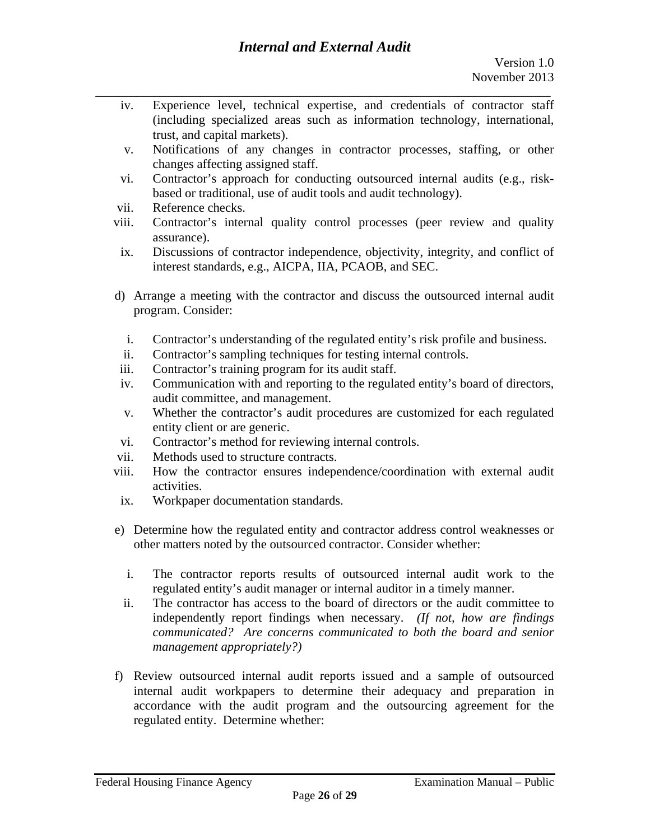- **\_\_\_\_\_\_\_\_\_\_\_\_\_\_\_\_\_\_\_\_\_\_\_\_\_\_\_\_\_\_\_\_\_\_\_\_\_\_\_\_\_\_\_\_\_\_\_\_\_\_\_\_\_\_\_\_\_\_\_\_\_\_\_\_\_\_\_\_\_\_\_\_\_\_\_\_\_\_**  iv. Experience level, technical expertise, and credentials of contractor staff (including specialized areas such as information technology, international, trust, and capital markets).
	- v. Notifications of any changes in contractor processes, staffing, or other changes affecting assigned staff.
	- based or traditional, use of audit tools and audit technology). vii. Reference checks. vi. Contractor's approach for conducting outsourced internal audits (e.g., risk-
	-
	- viii. Contractor's internal quality control processes (peer review and quality assurance).
	- ix. Discussions of contractor independence, objectivity, integrity, and conflict of interest standards, e.g., AICPA, IIA, PCAOB, and SEC.
	- d) Arrange a meeting with the contractor and discuss the outsourced internal audit program. Consider:
		- i. Contractor's understanding of the regulated entity's risk profile and business.
	- Contractor's sampling techniques for testing internal controls.
	- Contractor's training program for its audit staff.
	- ii. Contractor's sampling techniques for testing internal controls.<br>iii. Contractor's training program for its audit staff.<br>iv. Communication with and reporting to the regulated entity's board of directors, audit committee, and management.
	- v. Whether the contractor's audit procedures are customized for each regulated entity client or are generic.
	- vi. Contractor's method for reviewing internal controls.
	- vii. Methods used to structure contracts.
	- viii. How the contractor ensures independence/coordination with external audit activities.
	- ix. Workpaper documentation standards.
	- e) Determine how the regulated entity and contractor address control weaknesses or other matters noted by the outsourced contractor. Consider whether:
		- i. The contractor reports results of outsourced internal audit work to the regulated entity's audit manager or internal auditor in a timely manner.
		- ii. The contractor has access to the board of directors or the audit committee to independently report findings when necessary. *(If not, how are findings communicated? Are concerns communicated to both the board and senior management appropriately?)*
	- f) Review outsourced internal audit reports issued and a sample of outsourced internal audit workpapers to determine their adequacy and preparation in accordance with the audit program and the outsourcing agreement for the regulated entity. Determine whether: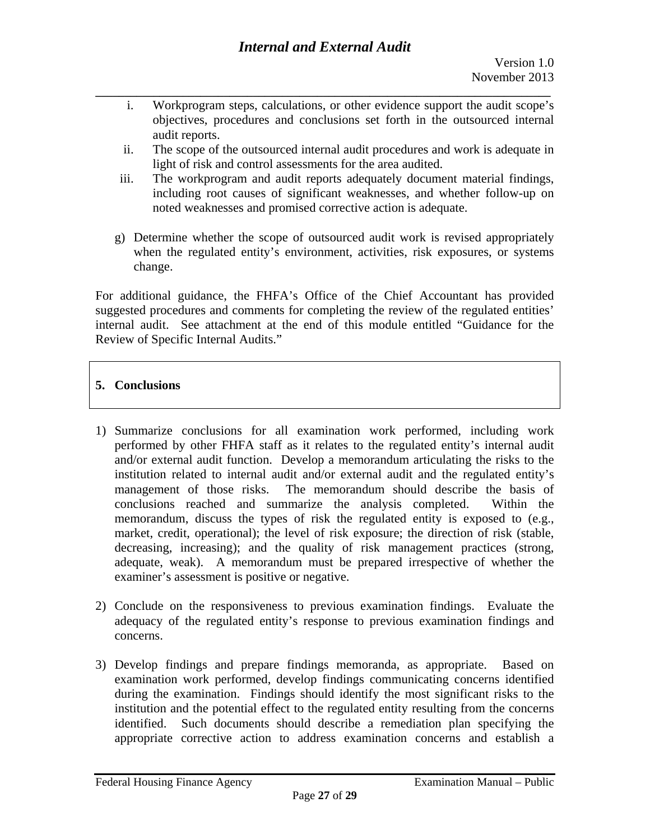- **\_\_\_\_\_\_\_\_\_\_\_\_\_\_\_\_\_\_\_\_\_\_\_\_\_\_\_\_\_\_\_\_\_\_\_\_\_\_\_\_\_\_\_\_\_\_\_\_\_\_\_\_\_\_\_\_\_\_\_\_\_\_\_\_\_\_\_\_\_\_\_\_\_\_\_\_\_\_**  i. Workprogram steps, calculations, or other evidence support the audit scope's objectives, procedures and conclusions set forth in the outsourced internal audit reports.
	- ii. The scope of the outsourced internal audit procedures and work is adequate in light of risk and control assessments for the area audited.
	- iii. The workprogram and audit reports adequately document material findings, including root causes of significant weaknesses, and whether follow-up on noted weaknesses and promised corrective action is adequate.
	- g) Determine whether the scope of outsourced audit work is revised appropriately when the regulated entity's environment, activities, risk exposures, or systems change.

For additional guidance, the FHFA's Office of the Chief Accountant has provided suggested procedures and comments for completing the review of the regulated entities' internal audit. See attachment at the end of this module entitled "Guidance for the Review of Specific Internal Audits."

# **5. Conclusions**

- 1) Summarize conclusions for all examination work performed, including work performed by other FHFA staff as it relates to the regulated entity's internal audit and/or external audit function. Develop a memorandum articulating the risks to the institution related to internal audit and/or external audit and the regulated entity's management of those risks. The memorandum should describe the basis of conclusions reached and summarize the analysis completed. Within the memorandum, discuss the types of risk the regulated entity is exposed to (e.g., market, credit, operational); the level of risk exposure; the direction of risk (stable, decreasing, increasing); and the quality of risk management practices (strong, adequate, weak). A memorandum must be prepared irrespective of whether the examiner's assessment is positive or negative.
- 2) Conclude on the responsiveness to previous examination findings. Evaluate the adequacy of the regulated entity's response to previous examination findings and concerns.
- 3) Develop findings and prepare findings memoranda, as appropriate. Based on examination work performed, develop findings communicating concerns identified during the examination. Findings should identify the most significant risks to the institution and the potential effect to the regulated entity resulting from the concerns identified. Such documents should describe a remediation plan specifying the appropriate corrective action to address examination concerns and establish a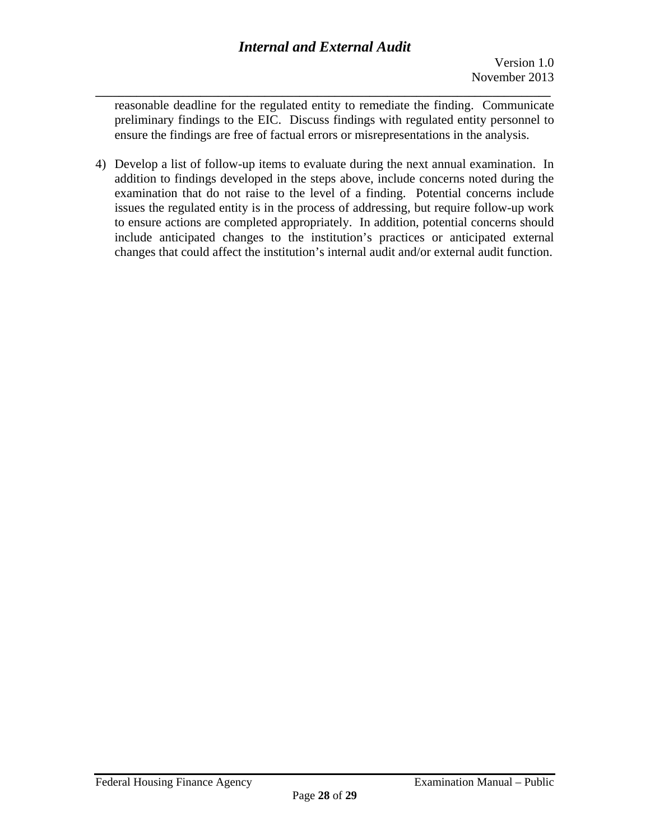**\_\_\_\_\_\_\_\_\_\_\_\_\_\_\_\_\_\_\_\_\_\_\_\_\_\_\_\_\_\_\_\_\_\_\_\_\_\_\_\_\_\_\_\_\_\_\_\_\_\_\_\_\_\_\_\_\_\_\_\_\_\_\_\_\_\_\_\_\_\_\_\_\_\_\_\_\_\_**  reasonable deadline for the regulated entity to remediate the finding. Communicate preliminary findings to the EIC. Discuss findings with regulated entity personnel to ensure the findings are free of factual errors or misrepresentations in the analysis.

4) Develop a list of follow-up items to evaluate during the next annual examination. In addition to findings developed in the steps above, include concerns noted during the examination that do not raise to the level of a finding. Potential concerns include issues the regulated entity is in the process of addressing, but require follow-up work to ensure actions are completed appropriately. In addition, potential concerns should include anticipated changes to the institution's practices or anticipated external changes that could affect the institution's internal audit and/or external audit function.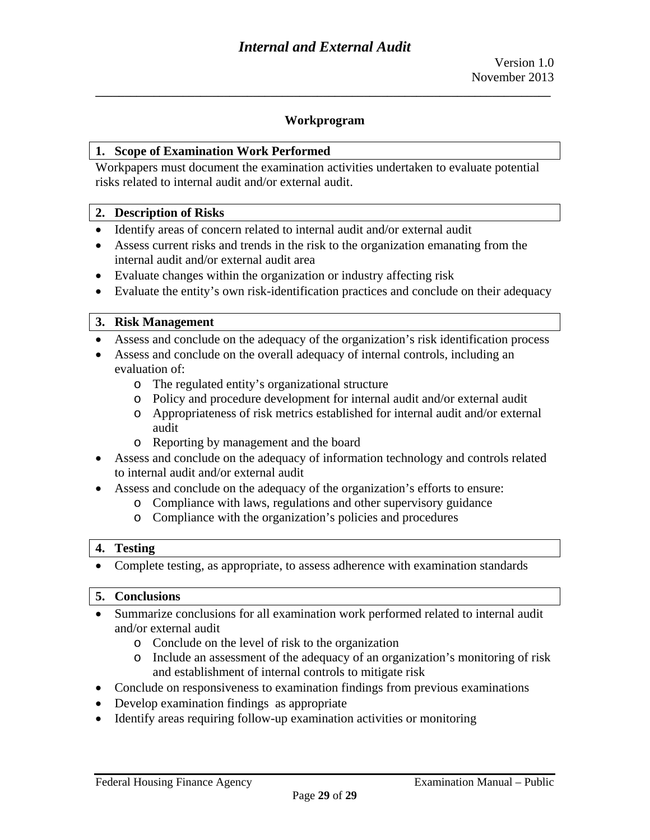#### **Workprogram**

**\_\_\_\_\_\_\_\_\_\_\_\_\_\_\_\_\_\_\_\_\_\_\_\_\_\_\_\_\_\_\_\_\_\_\_\_\_\_\_\_\_\_\_\_\_\_\_\_\_\_\_\_\_\_\_\_\_\_\_\_\_\_\_\_\_\_\_\_\_\_\_\_\_\_\_\_\_\_** 

#### **1. Scope of Examination Work Performed**

Workpapers must document the examination activities undertaken to evaluate potential risks related to internal audit and/or external audit.

#### **2. Description of Risks**

- Identify areas of concern related to internal audit and/or external audit
- Assess current risks and trends in the risk to the organization emanating from the internal audit and/or external audit area
- Evaluate changes within the organization or industry affecting risk
- Evaluate the entity's own risk-identification practices and conclude on their adequacy

#### **3. Risk Management**

- Assess and conclude on the adequacy of the organization's risk identification process
- Assess and conclude on the overall adequacy of internal controls, including an evaluation of:
	- o The regulated entity's organizational structure
	- o Policy and procedure development for internal audit and/or external audit
	- o Appropriateness of risk metrics established for internal audit and/or external audit
	- o Reporting by management and the board
- Assess and conclude on the adequacy of information technology and controls related to internal audit and/or external audit
- Assess and conclude on the adequacy of the organization's efforts to ensure:
	- o Compliance with laws, regulations and other supervisory guidance
	- o Compliance with the organization's policies and procedures

#### **4. Testing**

• Complete testing, as appropriate, to assess adherence with examination standards

#### **5. Conclusions**

- Summarize conclusions for all examination work performed related to internal audit and/or external audit
	- o Conclude on the level of risk to the organization
	- o Include an assessment of the adequacy of an organization's monitoring of risk and establishment of internal controls to mitigate risk
- Conclude on responsiveness to examination findings from previous examinations
- Develop examination findings as appropriate
- Identify areas requiring follow-up examination activities or monitoring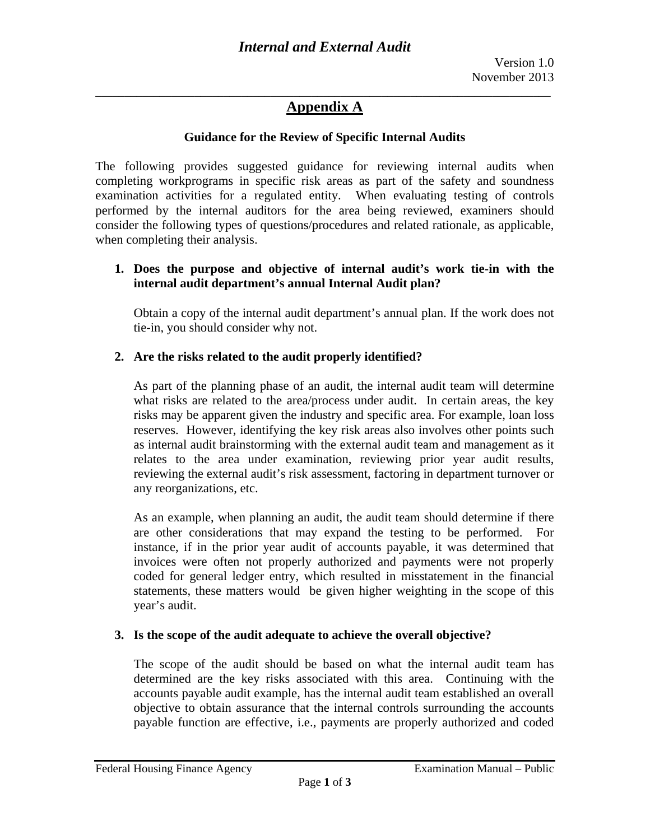#### **Guidance for the Review of Specific Internal Audits**

The following provides suggested guidance for reviewing internal audits when completing workprograms in specific risk areas as part of the safety and soundness examination activities for a regulated entity. When evaluating testing of controls performed by the internal auditors for the area being reviewed, examiners should consider the following types of questions/procedures and related rationale, as applicable, when completing their analysis.

### **internal audit department's annual Internal Audit plan? 1. Does the purpose and objective of internal audit's work tie-in with the**

Obtain a copy of the internal audit department's annual plan. If the work does not tie-in, you should consider why not.

### **2. Are the risks related to the audit properly identified?**

As part of the planning phase of an audit, the internal audit team will determine what risks are related to the area/process under audit. In certain areas, the key risks may be apparent given the industry and specific area. For example, loan loss reserves. However, identifying the key risk areas also involves other points such as internal audit brainstorming with the external audit team and management as it relates to the area under examination, reviewing prior year audit results, reviewing the external audit's risk assessment, factoring in department turnover or any reorganizations, etc.

As an example, when planning an audit, the audit team should determine if there are other considerations that may expand the testing to be performed. For instance, if in the prior year audit of accounts payable, it was determined that invoices were often not properly authorized and payments were not properly coded for general ledger entry, which resulted in misstatement in the financial statements, these matters would be given higher weighting in the scope of this year's audit.

### **3. Is the scope of the audit adequate to achieve the overall objective?**

The scope of the audit should be based on what the internal audit team has determined are the key risks associated with this area. Continuing with the accounts payable audit example, has the internal audit team established an overall objective to obtain assurance that the internal controls surrounding the accounts payable function are effective, i.e., payments are properly authorized and coded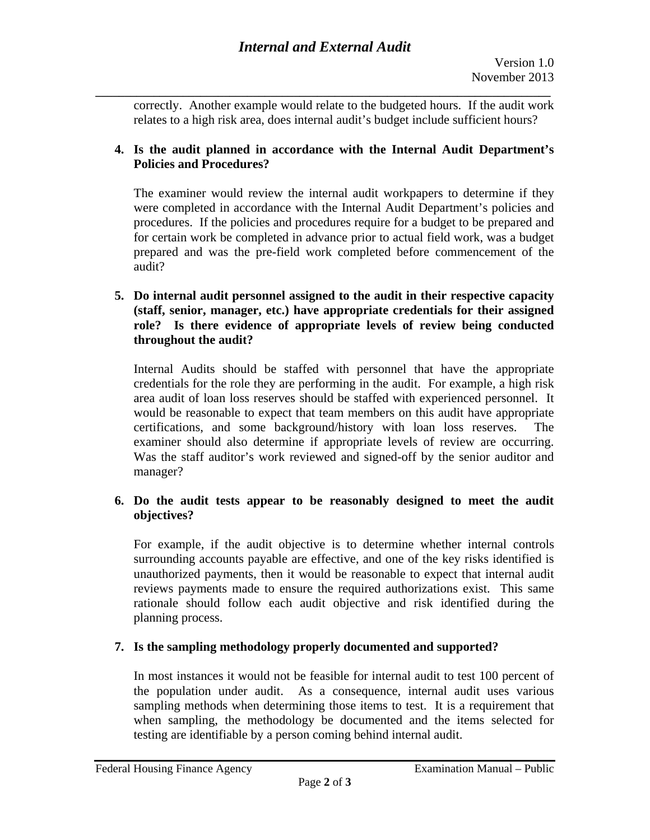relates to a high risk area, does internal audit's budget include sufficient hours? correctly. Another example would relate to the budgeted hours. If the audit work

# **4. Is the audit planned in accordance with the Internal Audit Department's Policies and Procedures?**

 audit? The examiner would review the internal audit workpapers to determine if they were completed in accordance with the Internal Audit Department's policies and procedures. If the policies and procedures require for a budget to be prepared and for certain work be completed in advance prior to actual field work, was a budget prepared and was the pre-field work completed before commencement of the

### **5. Do internal audit personnel assigned to the audit in their respective capacity (staff, senior, manager, etc.) have appropriate credentials for their assigned role? Is there evidence of appropriate levels of review being conducted throughout the audit?**

Internal Audits should be staffed with personnel that have the appropriate credentials for the role they are performing in the audit. For example, a high risk area audit of loan loss reserves should be staffed with experienced personnel. It would be reasonable to expect that team members on this audit have appropriate certifications, and some background/history with loan loss reserves. The examiner should also determine if appropriate levels of review are occurring. Was the staff auditor's work reviewed and signed-off by the senior auditor and manager?

### **6. Do the audit tests appear to be reasonably designed to meet the audit objectives?**

For example, if the audit objective is to determine whether internal controls surrounding accounts payable are effective, and one of the key risks identified is unauthorized payments, then it would be reasonable to expect that internal audit reviews payments made to ensure the required authorizations exist. This same rationale should follow each audit objective and risk identified during the planning process.

# **7. Is the sampling methodology properly documented and supported?**

In most instances it would not be feasible for internal audit to test 100 percent of the population under audit. As a consequence, internal audit uses various sampling methods when determining those items to test. It is a requirement that when sampling, the methodology be documented and the items selected for testing are identifiable by a person coming behind internal audit.